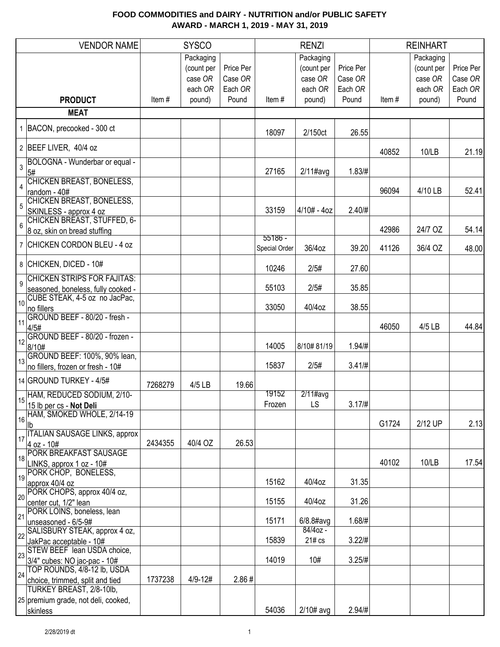|                | <b>VENDOR NAME</b>                                                       |         | <b>SYSCO</b>                                  |                                 |                            | <b>RENZI</b>                                  |                                 |       | <b>REINHART</b>                               |                                 |
|----------------|--------------------------------------------------------------------------|---------|-----------------------------------------------|---------------------------------|----------------------------|-----------------------------------------------|---------------------------------|-------|-----------------------------------------------|---------------------------------|
|                |                                                                          |         | Packaging<br>(count per<br>case OR<br>each OR | Price Per<br>Case OR<br>Each OR |                            | Packaging<br>(count per<br>case OR<br>each OR | Price Per<br>Case OR<br>Each OR |       | Packaging<br>(count per<br>case OR<br>each OR | Price Per<br>Case OR<br>Each OR |
|                | <b>PRODUCT</b>                                                           | Item#   | pound)                                        | Pound                           | Item#                      | pound)                                        | Pound                           | Item# | pound)                                        | Pound                           |
|                | <b>MEAT</b>                                                              |         |                                               |                                 |                            |                                               |                                 |       |                                               |                                 |
|                | 1 BACON, precooked - 300 ct                                              |         |                                               |                                 | 18097                      | 2/150ct                                       | 26.55                           |       |                                               |                                 |
|                | 2 BEEF LIVER, 40/4 oz                                                    |         |                                               |                                 |                            |                                               |                                 | 40852 | 10/LB                                         | 21.19                           |
| 3              | BOLOGNA - Wunderbar or equal -<br>5#                                     |         |                                               |                                 | 27165                      | $2/11$ #avg                                   | 1.83/H                          |       |                                               |                                 |
|                | CHICKEN BREAST, BONELESS,                                                |         |                                               |                                 |                            |                                               |                                 |       |                                               | 52.41                           |
| 5              | random - 40#<br><b>CHICKEN BREAST, BONELESS,</b>                         |         |                                               |                                 |                            |                                               |                                 | 96094 | 4/10 LB                                       |                                 |
|                | SKINLESS - approx 4 oz<br><b>CHICKEN BREAST, STUFFED, 6-</b>             |         |                                               |                                 | 33159                      | $4/10# - 4oz$                                 | 2.40/H                          |       |                                               |                                 |
| 6              | 8 oz, skin on bread stuffing                                             |         |                                               |                                 |                            |                                               |                                 | 42986 | 24/7 OZ                                       | 54.14                           |
|                | 7 CHICKEN CORDON BLEU - 4 oz                                             |         |                                               |                                 | $55186 -$<br>Special Order | 36/4oz                                        | 39.20                           | 41126 | 36/4 OZ                                       | 48.00                           |
|                | 8 CHICKEN, DICED - 10#                                                   |         |                                               |                                 | 10246                      | 2/5#                                          | 27.60                           |       |                                               |                                 |
| $\overline{9}$ | <b>CHICKEN STRIPS FOR FAJITAS:</b><br>seasoned, boneless, fully cooked - |         |                                               |                                 | 55103                      | 2/5#                                          | 35.85                           |       |                                               |                                 |
| 10             | CUBE STEAK, 4-5 oz no JacPac,                                            |         |                                               |                                 |                            |                                               |                                 |       |                                               |                                 |
|                | no fillers<br>GROUND BEEF - 80/20 - fresh -                              |         |                                               |                                 | 33050                      | 40/4oz                                        | 38.55                           |       |                                               |                                 |
| 11             | 4/5#                                                                     |         |                                               |                                 |                            |                                               |                                 | 46050 | 4/5 LB                                        | 44.84                           |
| 12             | GROUND BEEF - 80/20 - frozen -<br>8/10#                                  |         |                                               |                                 | 14005                      | 8/10#81/19                                    | 1.94/#                          |       |                                               |                                 |
| 13             | GROUND BEEF: 100%, 90% lean,<br>no fillers, frozen or fresh - 10#        |         |                                               |                                 | 15837                      | 2/5#                                          | 3.41/H                          |       |                                               |                                 |
|                | 14 GROUND TURKEY - 4/5#                                                  |         |                                               |                                 |                            |                                               |                                 |       |                                               |                                 |
|                | HAM, REDUCED SODIUM, 2/10-                                               | 7268279 | 4/5 LB                                        | 19.66                           | 19152                      | $2/11$ #avg                                   |                                 |       |                                               |                                 |
| 15             | 15 lb per cs - Not Deli                                                  |         |                                               |                                 | Frozen                     | LS.                                           | 3.17 / #                        |       |                                               |                                 |
| 16             | HAM, SMOKED WHOLE, 2/14-19<br>$\mathsf{lb}$                              |         |                                               |                                 |                            |                                               |                                 | G1724 | 2/12 UP                                       | 2.13                            |
| 17             | <b>ITALIAN SAUSAGE LINKS, approx</b>                                     |         |                                               |                                 |                            |                                               |                                 |       |                                               |                                 |
|                | 4 oz - 10#<br><b>PORK BREAKFAST SAUSAGE</b>                              | 2434355 | 40/4 OZ                                       | 26.53                           |                            |                                               |                                 |       |                                               |                                 |
| 18             | LINKS, approx 1 oz - 10#<br>PORK CHOP, BONELESS,                         |         |                                               |                                 |                            |                                               |                                 | 40102 | 10/LB                                         | 17.54                           |
| 19             | approx 40/4 oz                                                           |         |                                               |                                 | 15162                      | 40/4oz                                        | 31.35                           |       |                                               |                                 |
| 20             | PORK CHOPS, approx 40/4 oz,<br>center cut, 1/2" lean                     |         |                                               |                                 | 15155                      | 40/4oz                                        | 31.26                           |       |                                               |                                 |
| 21             | PORK LOINS, boneless, lean<br>unseasoned - 6/5-9#                        |         |                                               |                                 | 15171                      | $6/8.8$ #avg                                  | 1.68/#                          |       |                                               |                                 |
| 22             | SALISBURY STEAK, approx 4 oz,<br>JakPac acceptable - 10#                 |         |                                               |                                 | 15839                      | $84/4$ oz -<br>21# cs                         | 3.22/#                          |       |                                               |                                 |
| 23             | STEW BEEF lean USDA choice,                                              |         |                                               |                                 |                            |                                               |                                 |       |                                               |                                 |
| 24             | 3/4" cubes: NO jac-pac - 10#<br>TOP ROUNDS, 4/8-12 lb, USDA              |         |                                               |                                 | 14019                      | 10#                                           | 3.25/#                          |       |                                               |                                 |
|                | choice, trimmed, split and tied<br>TURKEY BREAST, 2/8-10lb,              | 1737238 | 4/9-12#                                       | 2.86#                           |                            |                                               |                                 |       |                                               |                                 |
|                | 25 premium grade, not deli, cooked,                                      |         |                                               |                                 |                            |                                               |                                 |       |                                               |                                 |
|                | skinless                                                                 |         |                                               |                                 | 54036                      | $2/10#$ avg                                   | 2.94/#                          |       |                                               |                                 |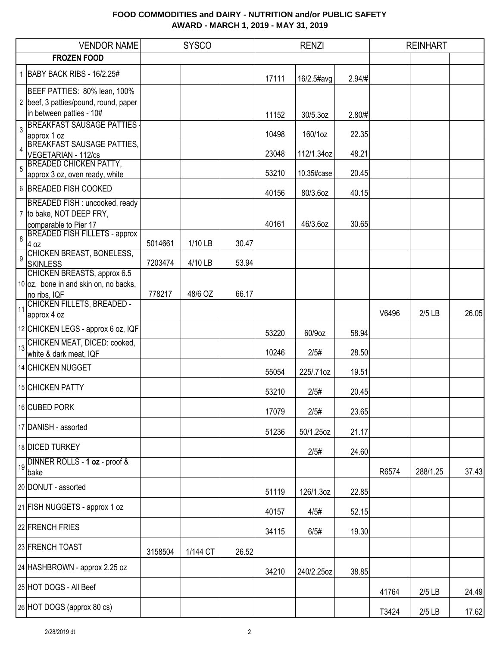|                | <b>VENDOR NAME</b>                                                                                                          |         | <b>SYSCO</b> |       |       | <b>RENZI</b> |        |       | <b>REINHART</b> |       |
|----------------|-----------------------------------------------------------------------------------------------------------------------------|---------|--------------|-------|-------|--------------|--------|-------|-----------------|-------|
|                | <b>FROZEN FOOD</b>                                                                                                          |         |              |       |       |              |        |       |                 |       |
|                | 1 BABY BACK RIBS - 16/2.25#                                                                                                 |         |              |       | 17111 | 16/2.5#avg   | 2.94/# |       |                 |       |
|                | BEEF PATTIES: 80% lean, 100%<br>2 beef, 3 patties/pound, round, paper<br>in between patties - 10#                           |         |              |       | 11152 | 30/5.3oz     | 2.80/# |       |                 |       |
| $\overline{3}$ | <b>BREAKFAST SAUSAGE PATTIES</b><br>approx 1 oz                                                                             |         |              |       | 10498 | 160/1oz      | 22.35  |       |                 |       |
| $\overline{4}$ | <b>BREAKFAST SAUSAGE PATTIES,</b><br>VEGETARIAN - 112/cs                                                                    |         |              |       | 23048 | 112/1.34oz   | 48.21  |       |                 |       |
| $\overline{5}$ | <b>BREADED CHICKEN PATTY,</b><br>approx 3 oz, oven ready, white                                                             |         |              |       | 53210 | 10.35#case   | 20.45  |       |                 |       |
|                | 6 BREADED FISH COOKED                                                                                                       |         |              |       | 40156 | 80/3.6oz     | 40.15  |       |                 |       |
| $\,8\,$        | BREADED FISH : uncooked, ready<br>7 to bake, NOT DEEP FRY,<br>comparable to Pier 17<br><b>BREADED FISH FILLETS - approx</b> |         |              |       | 40161 | 46/3.6oz     | 30.65  |       |                 |       |
| $\overline{9}$ | 4 oz<br><b>CHICKEN BREAST, BONELESS,</b>                                                                                    | 5014661 | 1/10 LB      | 30.47 |       |              |        |       |                 |       |
|                | <b>SKINLESS</b><br>CHICKEN BREASTS, approx 6.5                                                                              | 7203474 | 4/10 LB      | 53.94 |       |              |        |       |                 |       |
|                | 10 oz, bone in and skin on, no backs,<br>no ribs, IQF                                                                       | 778217  | 48/6 OZ      | 66.17 |       |              |        |       |                 |       |
| 11             | CHICKEN FILLETS, BREADED -<br>approx 4 oz                                                                                   |         |              |       |       |              |        | V6496 | $2/5$ LB        | 26.05 |
|                | 12 CHICKEN LEGS - approx 6 oz, IQF                                                                                          |         |              |       | 53220 | 60/9oz       | 58.94  |       |                 |       |
| 13             | CHICKEN MEAT, DICED: cooked,<br>white & dark meat, IQF                                                                      |         |              |       | 10246 | 2/5#         | 28.50  |       |                 |       |
|                | 14 CHICKEN NUGGET                                                                                                           |         |              |       | 55054 | 225/.71oz    | 19.51  |       |                 |       |
|                | 15 CHICKEN PATTY                                                                                                            |         |              |       | 53210 | 2/5#         | 20.45  |       |                 |       |
|                | 16 CUBED PORK                                                                                                               |         |              |       | 17079 | 2/5#         | 23.65  |       |                 |       |
|                | 17 DANISH - assorted                                                                                                        |         |              |       | 51236 | 50/1.25oz    | 21.17  |       |                 |       |
|                | 18 DICED TURKEY                                                                                                             |         |              |       |       | 2/5#         | 24.60  |       |                 |       |
|                | 19 DINNER ROLLS - 1 oz - proof &<br>bake                                                                                    |         |              |       |       |              |        | R6574 | 288/1.25        | 37.43 |
|                | 20 DONUT - assorted                                                                                                         |         |              |       | 51119 | 126/1.3oz    | 22.85  |       |                 |       |
|                | 21 FISH NUGGETS - approx 1 oz                                                                                               |         |              |       | 40157 | 4/5#         | 52.15  |       |                 |       |
|                | 22 FRENCH FRIES                                                                                                             |         |              |       | 34115 | 6/5#         | 19.30  |       |                 |       |
|                | 23 FRENCH TOAST                                                                                                             | 3158504 | 1/144 CT     | 26.52 |       |              |        |       |                 |       |
|                | 24 HASHBROWN - approx 2.25 oz                                                                                               |         |              |       | 34210 | 240/2.25oz   | 38.85  |       |                 |       |
|                | 25 HOT DOGS - All Beef                                                                                                      |         |              |       |       |              |        | 41764 | $2/5$ LB        | 24.49 |
|                | 26 HOT DOGS (approx 80 cs)                                                                                                  |         |              |       |       |              |        | T3424 | $2/5$ LB        | 17.62 |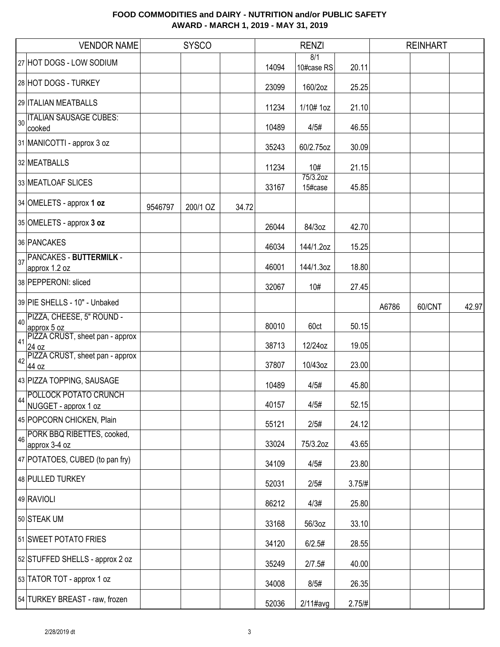|    | <b>VENDOR NAME</b>                                   |         | <b>SYSCO</b> |       |       | <b>RENZI</b>        |        |       | <b>REINHART</b> |       |
|----|------------------------------------------------------|---------|--------------|-------|-------|---------------------|--------|-------|-----------------|-------|
|    | 27 HOT DOGS - LOW SODIUM                             |         |              |       | 14094 | 8/1<br>10#case RS   | 20.11  |       |                 |       |
|    | 28 HOT DOGS - TURKEY                                 |         |              |       | 23099 | 160/2oz             | 25.25  |       |                 |       |
|    | 29 ITALIAN MEATBALLS                                 |         |              |       | 11234 | 1/10# 1oz           | 21.10  |       |                 |       |
| 30 | <b>ITALIAN SAUSAGE CUBES:</b><br>cooked              |         |              |       | 10489 | 4/5#                | 46.55  |       |                 |       |
|    | 31 MANICOTTI - approx 3 oz                           |         |              |       | 35243 | 60/2.75oz           | 30.09  |       |                 |       |
|    | 32 MEATBALLS                                         |         |              |       | 11234 | 10#                 | 21.15  |       |                 |       |
|    | 33 MEATLOAF SLICES                                   |         |              |       | 33167 | 75/3.2oz<br>15#case | 45.85  |       |                 |       |
|    | 34 OMELETS - approx 1 oz                             | 9546797 | 200/1 OZ     | 34.72 |       |                     |        |       |                 |       |
|    | 35 OMELETS - approx 3 oz                             |         |              |       | 26044 | 84/3oz              | 42.70  |       |                 |       |
|    | 36 PANCAKES                                          |         |              |       | 46034 | 144/1.2oz           | 15.25  |       |                 |       |
| 37 | <b>PANCAKES - BUTTERMILK -</b><br>approx 1.2 oz      |         |              |       | 46001 | 144/1.3oz           | 18.80  |       |                 |       |
|    | 38 PEPPERONI: sliced                                 |         |              |       | 32067 | 10#                 | 27.45  |       |                 |       |
|    | 39 PIE SHELLS - 10" - Unbaked                        |         |              |       |       |                     |        | A6786 | 60/CNT          | 42.97 |
| 40 | PIZZA, CHEESE, 5" ROUND -<br>approx 5 oz             |         |              |       | 80010 | 60ct                | 50.15  |       |                 |       |
| 41 | PIZZA CRUST, sheet pan - approx<br>24 oz             |         |              |       | 38713 | 12/24oz             | 19.05  |       |                 |       |
| 42 | PIZZA CRUST, sheet pan - approx<br>44 oz             |         |              |       | 37807 | 10/43oz             | 23.00  |       |                 |       |
|    | 43 PIZZA TOPPING, SAUSAGE                            |         |              |       | 10489 | 4/5#                | 45.80  |       |                 |       |
| 44 | <b>POLLOCK POTATO CRUNCH</b><br>NUGGET - approx 1 oz |         |              |       | 40157 | 4/5#                | 52.15  |       |                 |       |
|    | 45 POPCORN CHICKEN, Plain                            |         |              |       | 55121 | 2/5#                | 24.12  |       |                 |       |
| 46 | PORK BBQ RIBETTES, cooked,<br>approx 3-4 oz          |         |              |       | 33024 | 75/3.2oz            | 43.65  |       |                 |       |
|    | 47 POTATOES, CUBED (to pan fry)                      |         |              |       | 34109 | 4/5#                | 23.80  |       |                 |       |
|    | 48 PULLED TURKEY                                     |         |              |       | 52031 | 2/5#                | 3.75/# |       |                 |       |
|    | 49 RAVIOLI                                           |         |              |       | 86212 | 4/3#                | 25.80  |       |                 |       |
|    | 50 STEAK UM                                          |         |              |       | 33168 | 56/3oz              | 33.10  |       |                 |       |
|    | 51 SWEET POTATO FRIES                                |         |              |       | 34120 | 6/2.5#              | 28.55  |       |                 |       |
|    | 52 STUFFED SHELLS - approx 2 oz                      |         |              |       | 35249 | 2/7.5#              | 40.00  |       |                 |       |
|    | 53 TATOR TOT - approx 1 oz                           |         |              |       | 34008 | 8/5#                | 26.35  |       |                 |       |
|    | 54 TURKEY BREAST - raw, frozen                       |         |              |       | 52036 | $2/11$ #avg         | 2.75/H |       |                 |       |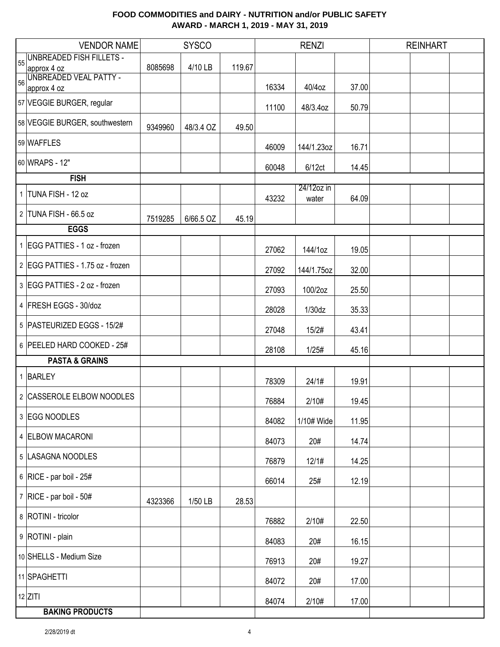|    | <b>VENDOR NAME</b>                    |         | <b>SYSCO</b> |        |       | <b>RENZI</b>        |       | <b>REINHART</b> |  |
|----|---------------------------------------|---------|--------------|--------|-------|---------------------|-------|-----------------|--|
| 55 | <b>UNBREADED FISH FILLETS -</b>       |         |              |        |       |                     |       |                 |  |
|    | approx 4 oz                           | 8085698 | 4/10 LB      | 119.67 |       |                     |       |                 |  |
| 56 | UNBREADED VEAL PATTY -<br>approx 4 oz |         |              |        | 16334 | 40/4oz              | 37.00 |                 |  |
|    |                                       |         |              |        |       |                     |       |                 |  |
|    | 57 VEGGIE BURGER, regular             |         |              |        | 11100 | 48/3.4oz            | 50.79 |                 |  |
|    | 58 VEGGIE BURGER, southwestern        | 9349960 | 48/3.4 OZ    | 49.50  |       |                     |       |                 |  |
|    | 59 WAFFLES                            |         |              |        | 46009 | 144/1.23oz          | 16.71 |                 |  |
|    | 60 WRAPS - 12"                        |         |              |        | 60048 | 6/12ct              | 14.45 |                 |  |
|    | <b>FISH</b>                           |         |              |        |       |                     |       |                 |  |
|    | 1 TUNA FISH - 12 oz                   |         |              |        | 43232 | 24/12oz in<br>water | 64.09 |                 |  |
|    | 2 TUNA FISH - 66.5 oz                 | 7519285 | 6/66.5 OZ    | 45.19  |       |                     |       |                 |  |
|    | <b>EGGS</b>                           |         |              |        |       |                     |       |                 |  |
|    | 1 EGG PATTIES - 1 oz - frozen         |         |              |        | 27062 | 144/1oz             | 19.05 |                 |  |
|    | 2 EGG PATTIES - 1.75 oz - frozen      |         |              |        | 27092 | 144/1.75oz          | 32.00 |                 |  |
|    | 3 EGG PATTIES - 2 oz - frozen         |         |              |        | 27093 | 100/2oz             | 25.50 |                 |  |
|    | 4 FRESH EGGS - 30/doz                 |         |              |        | 28028 | 1/30dz              | 35.33 |                 |  |
|    | 5   PASTEURIZED EGGS - 15/2#          |         |              |        | 27048 | 15/2#               | 43.41 |                 |  |
|    | 6 PEELED HARD COOKED - 25#            |         |              |        | 28108 | 1/25#               | 45.16 |                 |  |
|    | <b>PASTA &amp; GRAINS</b>             |         |              |        |       |                     |       |                 |  |
|    | 1 BARLEY                              |         |              |        | 78309 | 24/1#               | 19.91 |                 |  |
|    | 2 CASSEROLE ELBOW NOODLES             |         |              |        | 76884 | 2/10#               | 19.45 |                 |  |
|    | 3 EGG NOODLES                         |         |              |        | 84082 | 1/10# Wide          | 11.95 |                 |  |
|    | 4 ELBOW MACARONI                      |         |              |        | 84073 | 20#                 | 14.74 |                 |  |
|    | 5  LASAGNA NOODLES                    |         |              |        | 76879 | 12/1#               | 14.25 |                 |  |
|    | 6 RICE - par boil - 25#               |         |              |        | 66014 | 25#                 | 12.19 |                 |  |
|    | 7 RICE - par boil - $50#$             | 4323366 | 1/50 LB      | 28.53  |       |                     |       |                 |  |
|    | 8   ROTINI - tricolor                 |         |              |        | 76882 | 2/10#               | 22.50 |                 |  |
|    | 9 ROTINI - plain                      |         |              |        | 84083 | 20#                 | 16.15 |                 |  |
|    | 10 SHELLS - Medium Size               |         |              |        | 76913 | 20#                 | 19.27 |                 |  |
|    | 11 SPAGHETTI                          |         |              |        | 84072 | 20#                 | 17.00 |                 |  |
|    | $12$ ZITI                             |         |              |        | 84074 | 2/10#               | 17.00 |                 |  |
|    | <b>BAKING PRODUCTS</b>                |         |              |        |       |                     |       |                 |  |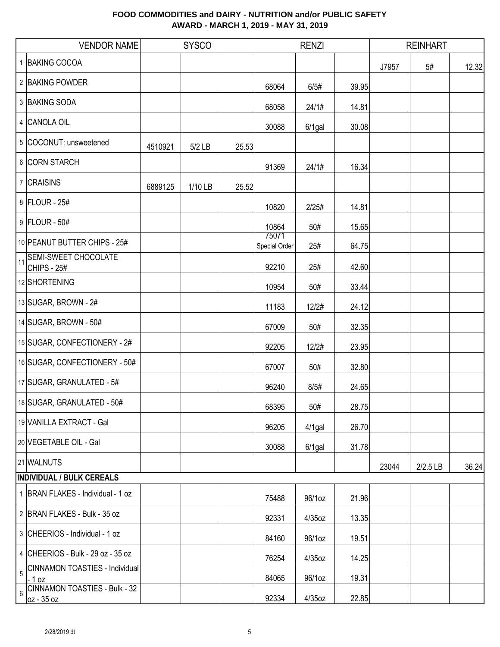|    | <b>VENDOR NAME</b>                                   |         | <b>SYSCO</b> |       | <b>RENZI</b>           |           |       | <b>REINHART</b> |            |       |
|----|------------------------------------------------------|---------|--------------|-------|------------------------|-----------|-------|-----------------|------------|-------|
|    | 1 BAKING COCOA                                       |         |              |       |                        |           |       | J7957           | 5#         | 12.32 |
|    | 2 BAKING POWDER                                      |         |              |       | 68064                  | 6/5#      | 39.95 |                 |            |       |
|    | 3 BAKING SODA                                        |         |              |       | 68058                  | 24/1#     | 14.81 |                 |            |       |
|    | 4 CANOLA OIL                                         |         |              |       | 30088                  | $6/1$ gal | 30.08 |                 |            |       |
|    | 5 COCONUT: unsweetened                               | 4510921 | $5/2$ LB     | 25.53 |                        |           |       |                 |            |       |
|    | 6 CORN STARCH                                        |         |              |       | 91369                  | 24/1#     | 16.34 |                 |            |       |
|    | 7 CRAISINS                                           | 6889125 | 1/10 LB      | 25.52 |                        |           |       |                 |            |       |
|    | 8 FLOUR - 25#                                        |         |              |       | 10820                  | 2/25#     | 14.81 |                 |            |       |
|    | 9 FLOUR - 50#                                        |         |              |       | 10864                  | 50#       | 15.65 |                 |            |       |
|    | 10 PEANUT BUTTER CHIPS - 25#                         |         |              |       | 75071<br>Special Order | 25#       | 64.75 |                 |            |       |
| 11 | <b>SEMI-SWEET CHOCOLATE</b><br><b>CHIPS - 25#</b>    |         |              |       | 92210                  | 25#       | 42.60 |                 |            |       |
|    | 12 SHORTENING                                        |         |              |       | 10954                  | 50#       | 33.44 |                 |            |       |
|    | 13 SUGAR, BROWN - 2#                                 |         |              |       | 11183                  | 12/2#     | 24.12 |                 |            |       |
|    | 14 SUGAR, BROWN - 50#                                |         |              |       | 67009                  | 50#       | 32.35 |                 |            |       |
|    | 15 SUGAR, CONFECTIONERY - 2#                         |         |              |       | 92205                  | 12/2#     | 23.95 |                 |            |       |
|    | 16 SUGAR, CONFECTIONERY - 50#                        |         |              |       | 67007                  | 50#       | 32.80 |                 |            |       |
|    | 17 SUGAR, GRANULATED - 5#                            |         |              |       | 96240                  | 8/5#      | 24.65 |                 |            |       |
|    | 18 SUGAR, GRANULATED - 50#                           |         |              |       | 68395                  | 50#       | 28.75 |                 |            |       |
|    | 19 VANILLA EXTRACT - Gal                             |         |              |       | 96205                  | $4/1$ gal | 26.70 |                 |            |       |
|    | 20 VEGETABLE OIL - Gal                               |         |              |       | 30088                  | $6/1$ gal | 31.78 |                 |            |       |
|    | 21 WALNUTS                                           |         |              |       |                        |           |       | 23044           | $2/2.5$ LB | 36.24 |
|    | <b>INDIVIDUAL / BULK CEREALS</b>                     |         |              |       |                        |           |       |                 |            |       |
|    | 1 BRAN FLAKES - Individual - 1 oz                    |         |              |       | 75488                  | 96/1oz    | 21.96 |                 |            |       |
|    | 2 BRAN FLAKES - Bulk - 35 oz                         |         |              |       | 92331                  | 4/35oz    | 13.35 |                 |            |       |
|    | 3 CHEERIOS - Individual - 1 oz                       |         |              |       | 84160                  | 96/1oz    | 19.51 |                 |            |       |
|    | 4 CHEERIOS - Bulk - 29 oz - 35 oz                    |         |              |       | 76254                  | 4/35oz    | 14.25 |                 |            |       |
| 5  | <b>CINNAMON TOASTIES - Individual</b><br>$-1$ oz     |         |              |       | 84065                  | 96/1oz    | 19.31 |                 |            |       |
| 6  | <b>CINNAMON TOASTIES - Bulk - 32</b><br>$oz - 35 oz$ |         |              |       | 92334                  | $4/35$ oz | 22.85 |                 |            |       |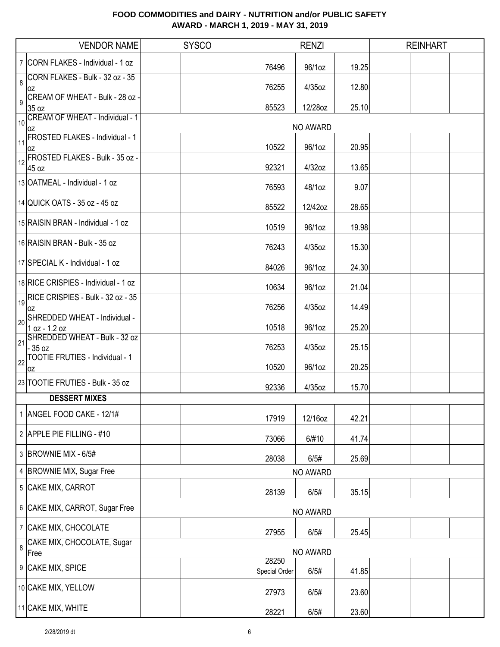|                | <b>VENDOR NAME</b>                             | <b>SYSCO</b> |                        | <b>RENZI</b> |       | <b>REINHART</b> |  |
|----------------|------------------------------------------------|--------------|------------------------|--------------|-------|-----------------|--|
|                | 7 CORN FLAKES - Individual - 1 oz              |              | 76496                  | 96/1oz       | 19.25 |                 |  |
| 8              | CORN FLAKES - Bulk - 32 oz - 35<br>0Z          |              | 76255                  | $4/35$ oz    | 12.80 |                 |  |
| 9              | CREAM OF WHEAT - Bulk - 28 oz -<br>35 oz       |              | 85523                  | 12/28oz      | 25.10 |                 |  |
| 110            | CREAM OF WHEAT - Individual - 1<br>0Z          |              |                        | NO AWARD     |       |                 |  |
| 11             | <b>FROSTED FLAKES - Individual - 1</b><br>0Z   |              | 10522                  | 96/1oz       | 20.95 |                 |  |
| 12             | FROSTED FLAKES - Bulk - 35 oz -<br>45 oz       |              | 92321                  | 4/32oz       | 13.65 |                 |  |
|                | 13 OATMEAL - Individual - 1 oz                 |              | 76593                  | 48/1oz       | 9.07  |                 |  |
|                | 14 QUICK OATS - 35 oz - 45 oz                  |              | 85522                  | 12/42oz      | 28.65 |                 |  |
|                | 15 RAISIN BRAN - Individual - 1 oz             |              | 10519                  | 96/1oz       | 19.98 |                 |  |
|                | 16 RAISIN BRAN - Bulk - 35 oz                  |              | 76243                  | $4/35$ oz    | 15.30 |                 |  |
|                | 17 SPECIAL K - Individual - 1 oz               |              | 84026                  | 96/1oz       | 24.30 |                 |  |
|                | 18 RICE CRISPIES - Individual - 1 oz           |              | 10634                  | 96/1oz       | 21.04 |                 |  |
| 19             | RICE CRISPIES - Bulk - 32 oz - 35<br>0Z        |              | 76256                  | 4/35oz       | 14.49 |                 |  |
| 20             | SHREDDED WHEAT - Individual -<br>1 oz - 1.2 oz |              | 10518                  | 96/1oz       | 25.20 |                 |  |
| 21             | SHREDDED WHEAT - Bulk - 32 oz<br>$-35$ oz      |              | 76253                  | $4/35$ oz    | 25.15 |                 |  |
| $\frac{1}{22}$ | <b>TOOTIE FRUTIES - Individual - 1</b><br>0Z   |              | 10520                  | 96/1oz       | 20.25 |                 |  |
|                | 23 TOOTIE FRUTIES - Bulk - 35 oz               |              | 92336                  | 4/35oz       | 15.70 |                 |  |
|                | <b>DESSERT MIXES</b>                           |              |                        |              |       |                 |  |
|                | 1 ANGEL FOOD CAKE - 12/1#                      |              | 17919                  | 12/16oz      | 42.21 |                 |  |
|                | 2 APPLE PIE FILLING - #10                      |              | 73066                  | 6/#10        | 41.74 |                 |  |
|                | 3 BROWNIE MIX - 6/5#                           |              | 28038                  | 6/5#         | 25.69 |                 |  |
|                | 4 BROWNIE MIX, Sugar Free                      |              |                        | NO AWARD     |       |                 |  |
|                | 5 CAKE MIX, CARROT                             |              | 28139                  | 6/5#         | 35.15 |                 |  |
|                | 6 CAKE MIX, CARROT, Sugar Free                 |              |                        | NO AWARD     |       |                 |  |
|                | 7 CAKE MIX, CHOCOLATE                          |              | 27955                  | 6/5#         | 25.45 |                 |  |
| 8              | CAKE MIX, CHOCOLATE, Sugar<br>Free             |              |                        | NO AWARD     |       |                 |  |
|                | 9 CAKE MIX, SPICE                              |              | 28250<br>Special Order | 6/5#         | 41.85 |                 |  |
|                | 10 CAKE MIX, YELLOW                            |              | 27973                  | 6/5#         | 23.60 |                 |  |
|                | 11 CAKE MIX, WHITE                             |              | 28221                  | 6/5#         | 23.60 |                 |  |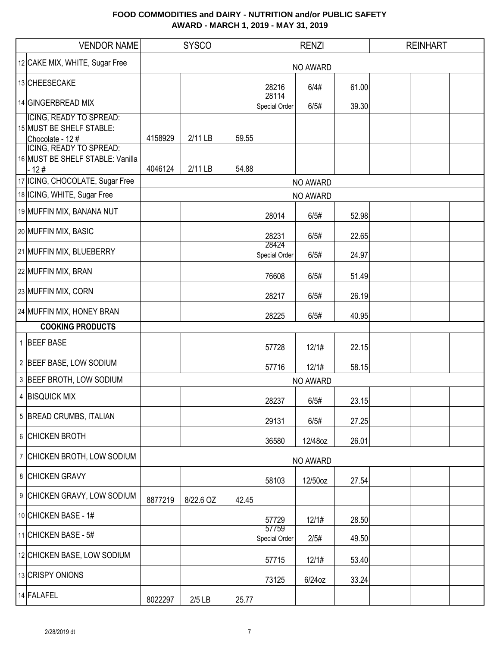| <b>VENDOR NAME</b>                           | <b>SYSCO</b> |           |       | <b>RENZI</b>           |                 |       | <b>REINHART</b> |  |
|----------------------------------------------|--------------|-----------|-------|------------------------|-----------------|-------|-----------------|--|
| 12 CAKE MIX, WHITE, Sugar Free               |              |           |       |                        | NO AWARD        |       |                 |  |
| 13 CHEESECAKE                                |              |           |       | 28216                  | 6/4#            | 61.00 |                 |  |
| 14 GINGERBREAD MIX                           |              |           |       | 28114<br>Special Order | 6/5#            | 39.30 |                 |  |
| ICING, READY TO SPREAD:                      |              |           |       |                        |                 |       |                 |  |
| 15 MUST BE SHELF STABLE:<br>Chocolate - 12 # | 4158929      | 2/11 LB   | 59.55 |                        |                 |       |                 |  |
| <b>ICING, READY TO SPREAD:</b>               |              |           |       |                        |                 |       |                 |  |
| 16 MUST BE SHELF STABLE: Vanilla<br>$-12#$   | 4046124      | 2/11 LB   | 54.88 |                        |                 |       |                 |  |
| 17 ICING, CHOCOLATE, Sugar Free              |              |           |       |                        | NO AWARD        |       |                 |  |
| 18 ICING, WHITE, Sugar Free                  |              |           |       |                        | <b>NO AWARD</b> |       |                 |  |
| 19 MUFFIN MIX, BANANA NUT                    |              |           |       | 28014                  | 6/5#            | 52.98 |                 |  |
| 20 MUFFIN MIX, BASIC                         |              |           |       | 28231                  | 6/5#            | 22.65 |                 |  |
| 21 MUFFIN MIX, BLUEBERRY                     |              |           |       | 28424<br>Special Order | 6/5#            | 24.97 |                 |  |
| 22 MUFFIN MIX, BRAN                          |              |           |       | 76608                  | 6/5#            | 51.49 |                 |  |
| 23 MUFFIN MIX, CORN                          |              |           |       | 28217                  | 6/5#            | 26.19 |                 |  |
| 24 MUFFIN MIX, HONEY BRAN                    |              |           |       | 28225                  | 6/5#            | 40.95 |                 |  |
| <b>COOKING PRODUCTS</b>                      |              |           |       |                        |                 |       |                 |  |
| 1 BEEF BASE                                  |              |           |       | 57728                  | 12/1#           | 22.15 |                 |  |
| 2 BEEF BASE, LOW SODIUM                      |              |           |       | 57716                  | 12/1#           | 58.15 |                 |  |
| 3 BEEF BROTH, LOW SODIUM                     |              |           |       |                        | <b>NO AWARD</b> |       |                 |  |
| 4 BISQUICK MIX                               |              |           |       | 28237                  | 6/5#            | 23.15 |                 |  |
| 5 BREAD CRUMBS, ITALIAN                      |              |           |       | 29131                  | 6/5#            | 27.25 |                 |  |
| 6 CHICKEN BROTH                              |              |           |       | 36580                  | 12/48oz         | 26.01 |                 |  |
| 7 CHICKEN BROTH, LOW SODIUM                  |              |           |       |                        | NO AWARD        |       |                 |  |
| 8 CHICKEN GRAVY                              |              |           |       | 58103                  | 12/50oz         | 27.54 |                 |  |
| 9 CHICKEN GRAVY, LOW SODIUM                  | 8877219      | 8/22.6 OZ | 42.45 |                        |                 |       |                 |  |
| 10 CHICKEN BASE - 1#                         |              |           |       | 57729                  | 12/1#           | 28.50 |                 |  |
| 11 CHICKEN BASE - 5#                         |              |           |       | 57759<br>Special Order | 2/5#            | 49.50 |                 |  |
| 12 CHICKEN BASE, LOW SODIUM                  |              |           |       | 57715                  | 12/1#           | 53.40 |                 |  |
| 13 CRISPY ONIONS                             |              |           |       | 73125                  | $6/24$ oz       | 33.24 |                 |  |
| 14 FALAFEL                                   | 8022297      | $2/5$ LB  | 25.77 |                        |                 |       |                 |  |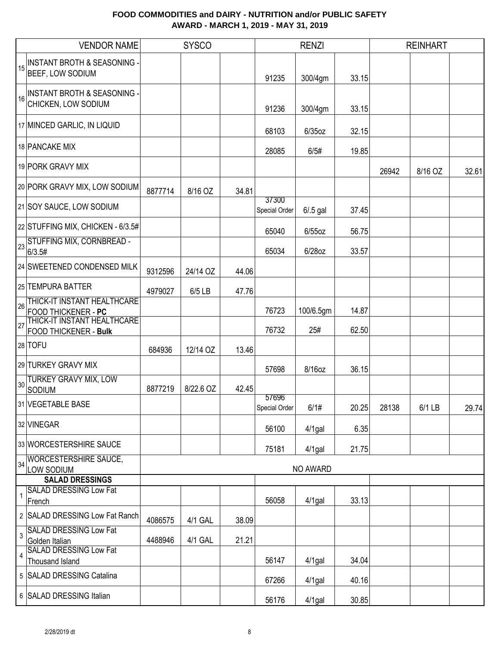|                | <b>VENDOR NAME</b>                                                                                                  |         | <b>SYSCO</b> |       |                        | <b>RENZI</b>     |                |       | <b>REINHART</b> |       |
|----------------|---------------------------------------------------------------------------------------------------------------------|---------|--------------|-------|------------------------|------------------|----------------|-------|-----------------|-------|
| 15             | <b>INSTANT BROTH &amp; SEASONING -</b><br>BEEF, LOW SODIUM                                                          |         |              |       | 91235                  | 300/4gm          | 33.15          |       |                 |       |
| 16             | <b>INSTANT BROTH &amp; SEASONING -</b><br>CHICKEN, LOW SODIUM                                                       |         |              |       | 91236                  | 300/4gm          | 33.15          |       |                 |       |
|                | 17 MINCED GARLIC, IN LIQUID                                                                                         |         |              |       | 68103                  | $6/35$ oz        | 32.15          |       |                 |       |
|                | 18 PANCAKE MIX                                                                                                      |         |              |       | 28085                  | 6/5#             | 19.85          |       |                 |       |
|                | 19 PORK GRAVY MIX                                                                                                   |         |              |       |                        |                  |                | 26942 | 8/16 OZ         | 32.61 |
|                | 20 PORK GRAVY MIX, LOW SODIUM                                                                                       | 8877714 | 8/16 OZ      | 34.81 |                        |                  |                |       |                 |       |
|                | 21 SOY SAUCE, LOW SODIUM                                                                                            |         |              |       | 37300<br>Special Order | $6/0.5$ gal      | 37.45          |       |                 |       |
|                | 22 STUFFING MIX, CHICKEN - 6/3.5#                                                                                   |         |              |       | 65040                  | $6/55$ oz        | 56.75          |       |                 |       |
| 23             | STUFFING MIX, CORNBREAD -<br>6/3.5#                                                                                 |         |              |       | 65034                  | 6/28oz           | 33.57          |       |                 |       |
|                | 24 SWEETENED CONDENSED MILK                                                                                         | 9312596 | 24/14 OZ     | 44.06 |                        |                  |                |       |                 |       |
|                | 25 TEMPURA BATTER                                                                                                   | 4979027 | 6/5 LB       | 47.76 |                        |                  |                |       |                 |       |
| 26<br>27       | THICK-IT INSTANT HEALTHCARE<br>FOOD THICKENER - PC<br> THICK-IT INSTANT HEALTHCARE <br><b>FOOD THICKENER - Bulk</b> |         |              |       | 76723<br>76732         | 100/6.5gm<br>25# | 14.87<br>62.50 |       |                 |       |
|                | 28 TOFU                                                                                                             | 684936  | 12/14 OZ     | 13.46 |                        |                  |                |       |                 |       |
|                | 29 TURKEY GRAVY MIX                                                                                                 |         |              |       | 57698                  | 8/16oz           | 36.15          |       |                 |       |
| 30             | <b>TURKEY GRAVY MIX, LOW</b><br>SODIUM                                                                              | 8877219 | 8/22.6 OZ    | 42.45 | 57696                  |                  |                |       |                 |       |
|                | 31 VEGETABLE BASE                                                                                                   |         |              |       | Special Order          | 6/1#             | 20.25          | 28138 | 6/1 LB          | 29.74 |
|                | 32 VINEGAR                                                                                                          |         |              |       | 56100                  | 4/1gal           | 6.35           |       |                 |       |
|                | 33 WORCESTERSHIRE SAUCE                                                                                             |         |              |       | 75181                  | $4/1$ gal        | 21.75          |       |                 |       |
| 34             | <b>WORCESTERSHIRE SAUCE,</b><br>LOW SODIUM                                                                          |         |              |       |                        | NO AWARD         |                |       |                 |       |
|                | <b>SALAD DRESSINGS</b>                                                                                              |         |              |       |                        |                  |                |       |                 |       |
|                | <b>SALAD DRESSING Low Fat</b><br>French                                                                             |         |              |       | 56058                  | $4/1$ gal        | 33.13          |       |                 |       |
|                | 2 SALAD DRESSING Low Fat Ranch                                                                                      | 4086575 | 4/1 GAL      | 38.09 |                        |                  |                |       |                 |       |
| $\overline{3}$ | <b>SALAD DRESSING Low Fat</b><br>Golden Italian                                                                     | 4488946 | 4/1 GAL      | 21.21 |                        |                  |                |       |                 |       |
| 4              | <b>SALAD DRESSING Low Fat</b><br>Thousand Island                                                                    |         |              |       | 56147                  | $4/1$ gal        | 34.04          |       |                 |       |
|                | 5 SALAD DRESSING Catalina                                                                                           |         |              |       | 67266                  | $4/1$ gal        | 40.16          |       |                 |       |
|                | 6 SALAD DRESSING Italian                                                                                            |         |              |       | 56176                  | 4/1gal           | 30.85          |       |                 |       |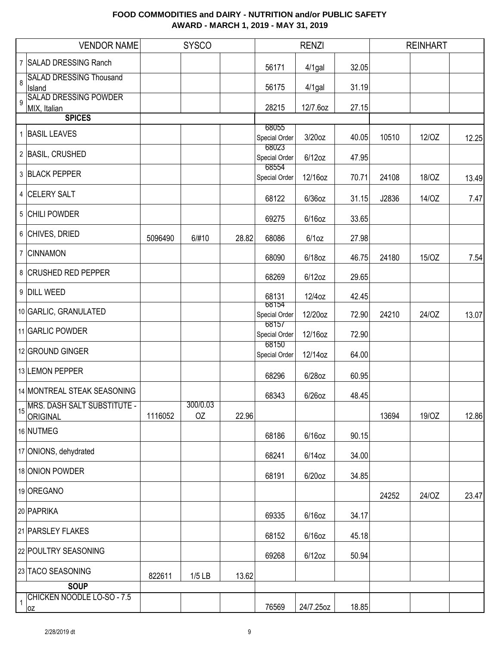|              | <b>VENDOR NAME</b>                      |         | <b>SYSCO</b>   |       |                        | <b>RENZI</b> |       |       | <b>REINHART</b> |       |
|--------------|-----------------------------------------|---------|----------------|-------|------------------------|--------------|-------|-------|-----------------|-------|
|              | 7 SALAD DRESSING Ranch                  |         |                |       | 56171                  | 4/1gal       | 32.05 |       |                 |       |
| 8            | <b>SALAD DRESSING Thousand</b>          |         |                |       |                        |              |       |       |                 |       |
| 9            | Island<br><b>SALAD DRESSING POWDER</b>  |         |                |       | 56175                  | 4/1gal       | 31.19 |       |                 |       |
|              | MIX, Italian<br><b>SPICES</b>           |         |                |       | 28215                  | 12/7.6oz     | 27.15 |       |                 |       |
|              |                                         |         |                |       | 68055                  |              |       |       |                 |       |
|              | 1 BASIL LEAVES                          |         |                |       | Special Order          | 3/20oz       | 40.05 | 10510 | 12/0Z           | 12.25 |
|              | 2 BASIL, CRUSHED                        |         |                |       | 68023<br>Special Order | $6/12$ oz    | 47.95 |       |                 |       |
|              | 3 BLACK PEPPER                          |         |                |       | 68554<br>Special Order | 12/16oz      | 70.71 | 24108 | 18/OZ           | 13.49 |
|              | 4 CELERY SALT                           |         |                |       | 68122                  | $6/36$ oz    | 31.15 | J2836 | 14/OZ           | 7.47  |
|              | 5 CHILI POWDER                          |         |                |       | 69275                  | $6/16$ oz    | 33.65 |       |                 |       |
|              | 6 CHIVES, DRIED                         | 5096490 | 6/#10          | 28.82 | 68086                  | 6/10z        | 27.98 |       |                 |       |
|              | 7 CINNAMON                              |         |                |       | 68090                  | 6/18oz       | 46.75 | 24180 | 15/OZ           | 7.54  |
|              | 8 CRUSHED RED PEPPER                    |         |                |       | 68269                  | $6/12$ oz    | 29.65 |       |                 |       |
|              | 9 DILL WEED                             |         |                |       | 68131                  | 12/4oz       | 42.45 |       |                 |       |
|              | 10 GARLIC, GRANULATED                   |         |                |       | 68154<br>Special Order | 12/20oz      | 72.90 | 24210 | 24/OZ           | 13.07 |
|              | 11 GARLIC POWDER                        |         |                |       | 68157<br>Special Order | 12/16oz      | 72.90 |       |                 |       |
|              | 12 GROUND GINGER                        |         |                |       | 68150<br>Special Order | 12/14oz      | 64.00 |       |                 |       |
|              | 13 LEMON PEPPER                         |         |                |       | 68296                  | 6/28oz       | 60.95 |       |                 |       |
|              | 14 MONTREAL STEAK SEASONING             |         |                |       | 68343                  | 6/26oz       | 48.45 |       |                 |       |
| 15           | MRS. DASH SALT SUBSTITUTE -<br>ORIGINAL | 1116052 | 300/0.03<br>OZ | 22.96 |                        |              |       | 13694 | 19/0Z           | 12.86 |
|              | 16 NUTMEG                               |         |                |       | 68186                  | $6/16$ oz    | 90.15 |       |                 |       |
|              | 17 ONIONS, dehydrated                   |         |                |       | 68241                  | $6/14$ oz    | 34.00 |       |                 |       |
|              | 18 ONION POWDER                         |         |                |       | 68191                  | $6/20$ oz    | 34.85 |       |                 |       |
|              | 19 OREGANO                              |         |                |       |                        |              |       | 24252 | 24/OZ           | 23.47 |
|              | 20 PAPRIKA                              |         |                |       | 69335                  | $6/16$ oz    | 34.17 |       |                 |       |
|              | 21 PARSLEY FLAKES                       |         |                |       | 68152                  | $6/16$ oz    | 45.18 |       |                 |       |
|              | 22 POULTRY SEASONING                    |         |                |       | 69268                  | $6/12$ oz    | 50.94 |       |                 |       |
|              | 23 TACO SEASONING                       | 822611  | $1/5$ LB       | 13.62 |                        |              |       |       |                 |       |
|              | <b>SOUP</b>                             |         |                |       |                        |              |       |       |                 |       |
| $\mathbf{1}$ | CHICKEN NOODLE LO-SO - 7.5<br>0Z        |         |                |       | 76569                  | 24/7.25oz    | 18.85 |       |                 |       |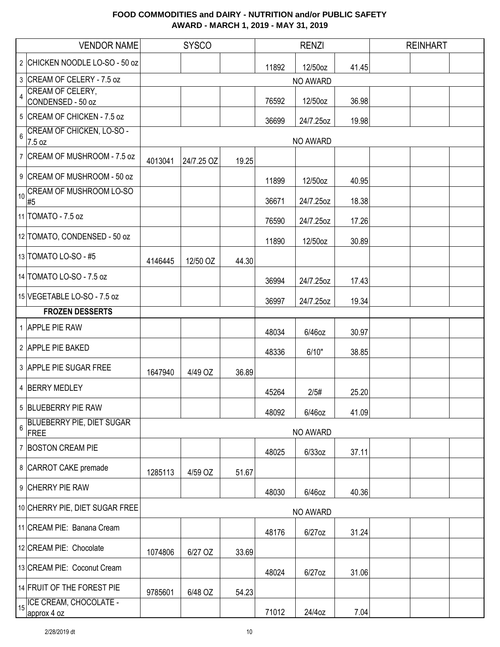|                  | <b>VENDOR NAME</b>                         |         | <b>SYSCO</b> |       |       | <b>RENZI</b>    |       | <b>REINHART</b> |  |
|------------------|--------------------------------------------|---------|--------------|-------|-------|-----------------|-------|-----------------|--|
|                  | 2 CHICKEN NOODLE LO-SO - 50 oz             |         |              |       | 11892 | 12/50oz         | 41.45 |                 |  |
|                  | 3 CREAM OF CELERY - 7.5 oz                 |         |              |       |       | NO AWARD        |       |                 |  |
| $\overline{4}$   | CREAM OF CELERY,<br>CONDENSED - 50 oz      |         |              |       | 76592 | 12/50oz         | 36.98 |                 |  |
|                  | 5 CREAM OF CHICKEN - 7.5 oz                |         |              |       | 36699 | 24/7.25oz       | 19.98 |                 |  |
| $6\phantom{a}$   | <b>CREAM OF CHICKEN, LO-SO -</b>           |         |              |       |       |                 |       |                 |  |
|                  | 7.5 oz<br>7 CREAM OF MUSHROOM - 7.5 oz     |         |              |       |       | <b>NO AWARD</b> |       |                 |  |
|                  | 9 CREAM OF MUSHROOM - 50 oz                | 4013041 | 24/7.25 OZ   | 19.25 |       |                 |       |                 |  |
| 10               | <b>CREAM OF MUSHROOM LO-SO</b>             |         |              |       | 11899 | 12/50oz         | 40.95 |                 |  |
|                  | #5<br>11 TOMATO - 7.5 oz                   |         |              |       | 36671 | 24/7.25oz       | 18.38 |                 |  |
|                  |                                            |         |              |       | 76590 | 24/7.25oz       | 17.26 |                 |  |
|                  | 12 TOMATO, CONDENSED - 50 oz               |         |              |       | 11890 | 12/50oz         | 30.89 |                 |  |
|                  | 13 TOMATO LO-SO - #5                       | 4146445 | 12/50 OZ     | 44.30 |       |                 |       |                 |  |
|                  | 14 TOMATO LO-SO - 7.5 oz                   |         |              |       | 36994 | 24/7.25oz       | 17.43 |                 |  |
|                  | 15 VEGETABLE LO-SO - 7.5 oz                |         |              |       | 36997 | 24/7.25oz       | 19.34 |                 |  |
|                  | <b>FROZEN DESSERTS</b>                     |         |              |       |       |                 |       |                 |  |
|                  | 1 APPLE PIE RAW                            |         |              |       | 48034 | 6/46oz          | 30.97 |                 |  |
|                  | 2 APPLE PIE BAKED                          |         |              |       | 48336 | 6/10"           | 38.85 |                 |  |
|                  | 3 APPLE PIE SUGAR FREE                     | 1647940 | 4/49 OZ      | 36.89 |       |                 |       |                 |  |
|                  | 4 BERRY MEDLEY                             |         |              |       | 45264 | 2/5#            | 25.20 |                 |  |
|                  | 5 BLUEBERRY PIE RAW                        |         |              |       | 48092 | 6/46oz          | 41.09 |                 |  |
| $\boldsymbol{6}$ | <b>BLUEBERRY PIE, DIET SUGAR</b><br>FREE   |         |              |       |       | NO AWARD        |       |                 |  |
|                  | 7 BOSTON CREAM PIE                         |         |              |       | 48025 | $6/33$ oz       | 37.11 |                 |  |
|                  | 8 CARROT CAKE premade                      | 1285113 | 4/59 OZ      | 51.67 |       |                 |       |                 |  |
|                  | 9 CHERRY PIE RAW                           |         |              |       | 48030 | 6/46oz          | 40.36 |                 |  |
|                  | 10 CHERRY PIE, DIET SUGAR FREE             |         |              |       |       | NO AWARD        |       |                 |  |
|                  | 11 CREAM PIE: Banana Cream                 |         |              |       | 48176 | 6/27oz          | 31.24 |                 |  |
|                  | 12 CREAM PIE: Chocolate                    | 1074806 | 6/27 OZ      | 33.69 |       |                 |       |                 |  |
|                  | 13 CREAM PIE: Coconut Cream                |         |              |       | 48024 | $6/27$ oz       | 31.06 |                 |  |
|                  | 14 FRUIT OF THE FOREST PIE                 | 9785601 | 6/48 OZ      | 54.23 |       |                 |       |                 |  |
|                  | 15   ICE CREAM, CHOCOLATE -<br>approx 4 oz |         |              |       | 71012 | 24/4oz          | 7.04  |                 |  |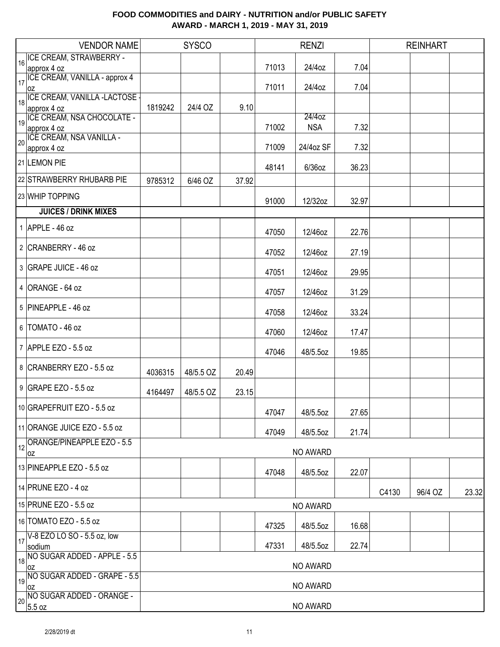| <b>VENDOR NAME</b>                  |         | <b>SYSCO</b> |       |       | <b>RENZI</b> |       |       | <b>REINHART</b> |       |  |  |
|-------------------------------------|---------|--------------|-------|-------|--------------|-------|-------|-----------------|-------|--|--|
| 16 ICE CREAM, STRAWBERRY -          |         |              |       |       |              |       |       |                 |       |  |  |
| approx 4 oz                         |         |              |       | 71013 | 24/4oz       | 7.04  |       |                 |       |  |  |
| ICE CREAM, VANILLA - approx 4       |         |              |       | 71011 | 24/4oz       | 7.04  |       |                 |       |  |  |
| 0Z<br>ICE CREAM, VANILLA -LACTOSE   |         |              |       |       |              |       |       |                 |       |  |  |
| 18<br>approx 4 oz                   | 1819242 | 24/4 OZ      | 9.10  |       |              |       |       |                 |       |  |  |
| ICE CREAM, NSA CHOCOLATE -<br>19    |         |              |       |       | 24/4oz       |       |       |                 |       |  |  |
| approx 4 oz                         |         |              |       | 71002 | <b>NSA</b>   | 7.32  |       |                 |       |  |  |
| 20 ICE CREAM, NSA VANILLA -         |         |              |       | 71009 | 24/4oz SF    | 7.32  |       |                 |       |  |  |
| approx 4 oz                         |         |              |       |       |              |       |       |                 |       |  |  |
| 21 LEMON PIE                        |         |              |       | 48141 | 6/36oz       | 36.23 |       |                 |       |  |  |
| 22 STRAWBERRY RHUBARB PIE           | 9785312 | 6/46 OZ      | 37.92 |       |              |       |       |                 |       |  |  |
|                                     |         |              |       |       |              |       |       |                 |       |  |  |
| 23 WHIP TOPPING                     |         |              |       | 91000 | 12/32oz      | 32.97 |       |                 |       |  |  |
| <b>JUICES / DRINK MIXES</b>         |         |              |       |       |              |       |       |                 |       |  |  |
| 1 APPLE - 46 oz                     |         |              |       | 47050 | 12/46oz      | 22.76 |       |                 |       |  |  |
|                                     |         |              |       |       |              |       |       |                 |       |  |  |
| 2 CRANBERRY - 46 oz                 |         |              |       | 47052 | 12/46oz      | 27.19 |       |                 |       |  |  |
| 3 GRAPE JUICE - 46 oz               |         |              |       |       |              |       |       |                 |       |  |  |
|                                     |         |              |       | 47051 | 12/46oz      | 29.95 |       |                 |       |  |  |
| $4$ ORANGE - 64 oz                  |         |              |       |       |              |       |       |                 |       |  |  |
|                                     |         |              |       | 47057 | 12/46oz      | 31.29 |       |                 |       |  |  |
| 5 PINEAPPLE - 46 oz                 |         |              |       | 47058 | 12/46oz      | 33.24 |       |                 |       |  |  |
|                                     |         |              |       |       |              |       |       |                 |       |  |  |
| 6   TOMATO - 46 oz                  |         |              |       | 47060 | 12/46oz      | 17.47 |       |                 |       |  |  |
| 7 APPLE EZO - 5.5 oz                |         |              |       |       |              |       |       |                 |       |  |  |
|                                     |         |              |       | 47046 | 48/5.5oz     | 19.85 |       |                 |       |  |  |
| 8 CRANBERRY EZO - 5.5 oz            | 4036315 | 48/5.5 OZ    | 20.49 |       |              |       |       |                 |       |  |  |
| 9 GRAPE EZO - 5.5 oz                |         |              |       |       |              |       |       |                 |       |  |  |
|                                     | 4164497 | 48/5.5 OZ    | 23.15 |       |              |       |       |                 |       |  |  |
| 10 GRAPEFRUIT EZO - 5.5 oz          |         |              |       |       |              |       |       |                 |       |  |  |
|                                     |         |              |       | 47047 | 48/5.5oz     | 27.65 |       |                 |       |  |  |
| 11 ORANGE JUICE EZO - 5.5 oz        |         |              |       | 47049 | 48/5.5oz     | 21.74 |       |                 |       |  |  |
| ORANGE/PINEAPPLE EZO - 5.5<br>12    |         |              |       |       |              |       |       |                 |       |  |  |
| 0Z                                  |         |              |       |       | NO AWARD     |       |       |                 |       |  |  |
| 13 PINEAPPLE EZO - 5.5 oz           |         |              |       |       |              |       |       |                 |       |  |  |
|                                     |         |              |       | 47048 | 48/5.5oz     | 22.07 |       |                 |       |  |  |
| 14 PRUNE EZO - 4 oz                 |         |              |       |       |              |       | C4130 | 96/4 OZ         | 23.32 |  |  |
| 15 PRUNE EZO - 5.5 oz               |         |              |       |       | NO AWARD     |       |       |                 |       |  |  |
|                                     |         |              |       |       |              |       |       |                 |       |  |  |
| 16 TOMATO EZO - 5.5 oz              |         |              |       | 47325 | 48/5.5oz     | 16.68 |       |                 |       |  |  |
| V-8 EZO LO SO - 5.5 oz, low<br>17   |         |              |       |       |              |       |       |                 |       |  |  |
| sodium                              |         |              |       | 47331 | 48/5.5oz     | 22.74 |       |                 |       |  |  |
| NO SUGAR ADDED - APPLE - 5.5<br>18  |         |              |       |       | NO AWARD     |       |       |                 |       |  |  |
| loz<br>NO SUGAR ADDED - GRAPE - 5.5 |         |              |       |       |              |       |       |                 |       |  |  |
| 19<br>loz                           |         |              |       |       | NO AWARD     |       |       |                 |       |  |  |
| NO SUGAR ADDED - ORANGE -<br>20     |         |              |       |       |              |       |       |                 |       |  |  |
| 5.5 oz                              |         | NO AWARD     |       |       |              |       |       |                 |       |  |  |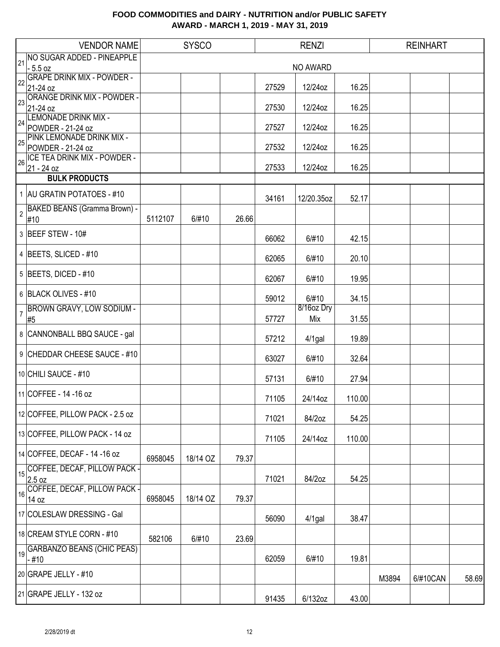| <b>VENDOR NAME</b>                                   |         | <b>SYSCO</b> |       |       | <b>RENZI</b>      |        |       | <b>REINHART</b> |       |
|------------------------------------------------------|---------|--------------|-------|-------|-------------------|--------|-------|-----------------|-------|
| <b>NO SUGAR ADDED - PINEAPPLE</b><br>21              |         |              |       |       |                   |        |       |                 |       |
| $-5.5 oz$<br><b>GRAPE DRINK MIX - POWDER -</b>       |         |              |       |       | NO AWARD          |        |       |                 |       |
| 22<br>21-24 oz                                       |         |              |       | 27529 | 12/24oz           | 16.25  |       |                 |       |
| <b>ORANGE DRINK MIX - POWDER -</b>                   |         |              |       |       |                   |        |       |                 |       |
| 23<br>21-24 oz                                       |         |              |       | 27530 | 12/24oz           | 16.25  |       |                 |       |
| <b>LEMONADE DRINK MIX -</b><br>24                    |         |              |       |       |                   |        |       |                 |       |
| POWDER - 21-24 oz                                    |         |              |       | 27527 | 12/24oz           | 16.25  |       |                 |       |
| PINK LEMONADE DRINK MIX -<br>25<br>POWDER - 21-24 oz |         |              |       | 27532 | 12/24oz           | 16.25  |       |                 |       |
| <b>ICE TEA DRINK MIX - POWDER -</b>                  |         |              |       |       |                   |        |       |                 |       |
| 26<br>21 - 24 oz                                     |         |              |       | 27533 | 12/24oz           | 16.25  |       |                 |       |
| <b>BULK PRODUCTS</b>                                 |         |              |       |       |                   |        |       |                 |       |
| 1 AU GRATIN POTATOES - #10                           |         |              |       | 34161 | 12/20.35oz        | 52.17  |       |                 |       |
| BAKED BEANS (Gramma Brown) -                         |         |              |       |       |                   |        |       |                 |       |
| $\overline{2}$<br>#10                                | 5112107 | 6/#10        | 26.66 |       |                   |        |       |                 |       |
| 3 BEEF STEW - 10#                                    |         |              |       | 66062 | 6/#10             | 42.15  |       |                 |       |
|                                                      |         |              |       |       |                   |        |       |                 |       |
| 4 BEETS, SLICED - #10                                |         |              |       | 62065 | 6/#10             | 20.10  |       |                 |       |
| 5 BEETS, DICED - #10                                 |         |              |       | 62067 | 6/#10             | 19.95  |       |                 |       |
| 6 BLACK OLIVES - #10                                 |         |              |       |       |                   |        |       |                 |       |
|                                                      |         |              |       | 59012 | 6/#10             | 34.15  |       |                 |       |
| <b>BROWN GRAVY, LOW SODIUM -</b><br>7<br>#5          |         |              |       | 57727 | 8/16oz Dry<br>Mix | 31.55  |       |                 |       |
| 8 CANNONBALL BBQ SAUCE - gal                         |         |              |       |       |                   |        |       |                 |       |
|                                                      |         |              |       | 57212 | 4/1gal            | 19.89  |       |                 |       |
| 9 CHEDDAR CHEESE SAUCE - #10                         |         |              |       | 63027 | 6/#10             | 32.64  |       |                 |       |
|                                                      |         |              |       |       |                   |        |       |                 |       |
| 10 CHILI SAUCE - #10                                 |         |              |       | 57131 | 6/#10             | 27.94  |       |                 |       |
| 11 COFFEE - 14 - 16 oz                               |         |              |       | 71105 | 24/14oz           | 110.00 |       |                 |       |
|                                                      |         |              |       |       |                   |        |       |                 |       |
| 12 COFFEE, PILLOW PACK - 2.5 oz                      |         |              |       | 71021 | 84/2oz            | 54.25  |       |                 |       |
| 13 COFFEE, PILLOW PACK - 14 oz                       |         |              |       | 71105 | 24/14oz           | 110.00 |       |                 |       |
| 14 COFFEE, DECAF - 14 - 16 oz                        |         |              |       |       |                   |        |       |                 |       |
| COFFEE, DECAF, PILLOW PACK -                         | 6958045 | 18/14 OZ     | 79.37 |       |                   |        |       |                 |       |
| 15<br>2.5 oz                                         |         |              |       | 71021 | 84/2oz            | 54.25  |       |                 |       |
| COFFEE, DECAF, PILLOW PACK -                         |         |              |       |       |                   |        |       |                 |       |
| 16<br>14 oz                                          | 6958045 | 18/14 OZ     | 79.37 |       |                   |        |       |                 |       |
| 17 COLESLAW DRESSING - Gal                           |         |              |       | 56090 | $4/1$ gal         | 38.47  |       |                 |       |
| 18 CREAM STYLE CORN - #10                            |         |              |       |       |                   |        |       |                 |       |
|                                                      | 582106  | 6/#10        | 23.69 |       |                   |        |       |                 |       |
| <b>GARBANZO BEANS (CHIC PEAS)</b><br>19<br>- #10     |         |              |       | 62059 | 6/#10             | 19.81  |       |                 |       |
| 20 GRAPE JELLY - #10                                 |         |              |       |       |                   |        |       |                 |       |
|                                                      |         |              |       |       |                   |        | M3894 | 6/#10CAN        | 58.69 |
| 21 GRAPE JELLY - 132 oz                              |         |              |       | 91435 | 6/132oz           | 43.00  |       |                 |       |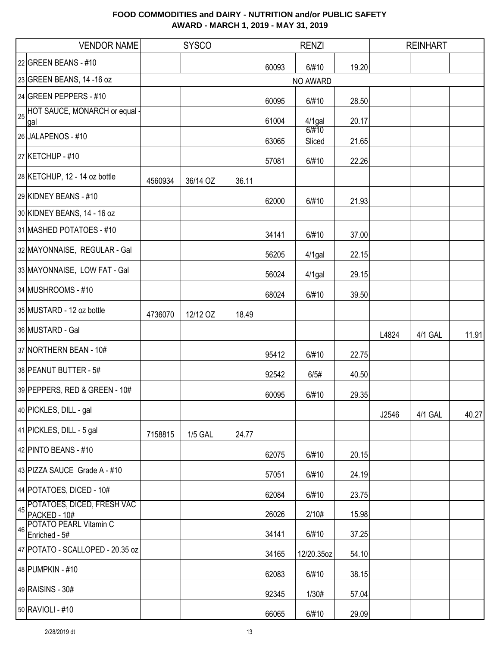|    | <b>VENDOR NAME</b>                             |         | <b>SYSCO</b>   |       |       | <b>RENZI</b> |       |       | <b>REINHART</b> |       |
|----|------------------------------------------------|---------|----------------|-------|-------|--------------|-------|-------|-----------------|-------|
|    | 22 GREEN BEANS - #10                           |         |                |       | 60093 | 6/#10        | 19.20 |       |                 |       |
|    | 23 GREEN BEANS, 14 -16 oz                      |         |                |       |       | NO AWARD     |       |       |                 |       |
|    | 24 GREEN PEPPERS - #10                         |         |                |       | 60095 | 6/#10        | 28.50 |       |                 |       |
|    | 25 HOT SAUCE, MONARCH or equal -<br>gal        |         |                |       | 61004 | $4/1$ gal    | 20.17 |       |                 |       |
|    | 26 JALAPENOS - #10                             |         |                |       |       | 6/#10        |       |       |                 |       |
|    | 27 KETCHUP - #10                               |         |                |       | 63065 | Sliced       | 21.65 |       |                 |       |
|    |                                                |         |                |       | 57081 | 6/#10        | 22.26 |       |                 |       |
|    | 28 KETCHUP, 12 - 14 oz bottle                  | 4560934 | 36/14 OZ       | 36.11 |       |              |       |       |                 |       |
|    | 29 KIDNEY BEANS - #10                          |         |                |       | 62000 | 6/#10        | 21.93 |       |                 |       |
|    | 30 KIDNEY BEANS, 14 - 16 oz                    |         |                |       |       |              |       |       |                 |       |
|    | 31 MASHED POTATOES - #10                       |         |                |       | 34141 | 6/#10        | 37.00 |       |                 |       |
|    | 32 MAYONNAISE, REGULAR - Gal                   |         |                |       | 56205 | 4/1gal       | 22.15 |       |                 |       |
|    | 33 MAYONNAISE, LOW FAT - Gal                   |         |                |       | 56024 | 4/1gal       | 29.15 |       |                 |       |
|    | 34 MUSHROOMS - #10                             |         |                |       | 68024 | 6/#10        | 39.50 |       |                 |       |
|    | 35 MUSTARD - 12 oz bottle                      | 4736070 | 12/12 OZ       | 18.49 |       |              |       |       |                 |       |
|    | 36 MUSTARD - Gal                               |         |                |       |       |              |       | L4824 | 4/1 GAL         | 11.91 |
|    | 37 NORTHERN BEAN - 10#                         |         |                |       | 95412 | 6/#10        | 22.75 |       |                 |       |
|    | 38 PEANUT BUTTER - 5#                          |         |                |       | 92542 | 6/5#         | 40.50 |       |                 |       |
|    | 39 PEPPERS, RED & GREEN - 10#                  |         |                |       | 60095 | 6/#10        | 29.35 |       |                 |       |
|    | 40 PICKLES, DILL - gal                         |         |                |       |       |              |       | J2546 | 4/1 GAL         | 40.27 |
|    | 41 PICKLES, DILL - 5 gal                       | 7158815 | <b>1/5 GAL</b> | 24.77 |       |              |       |       |                 |       |
|    | 42 PINTO BEANS - #10                           |         |                |       | 62075 | 6/#10        | 20.15 |       |                 |       |
|    | 43 PIZZA SAUCE Grade A - #10                   |         |                |       | 57051 | 6/#10        | 24.19 |       |                 |       |
|    | 44 POTATOES, DICED - 10#                       |         |                |       | 62084 | 6/#10        | 23.75 |       |                 |       |
| 45 | POTATOES, DICED, FRESH VAC<br>PACKED - 10#     |         |                |       | 26026 | 2/10#        | 15.98 |       |                 |       |
| 46 | <b>POTATO PEARL Vitamin C</b><br>Enriched - 5# |         |                |       | 34141 | 6/#10        | 37.25 |       |                 |       |
|    | 47 POTATO - SCALLOPED - 20.35 oz               |         |                |       | 34165 | 12/20.35oz   | 54.10 |       |                 |       |
|    | 48 PUMPKIN - #10                               |         |                |       | 62083 | 6/#10        | 38.15 |       |                 |       |
|    | 49 RAISINS - 30#                               |         |                |       | 92345 | 1/30#        | 57.04 |       |                 |       |
|    | 50 RAVIOLI - #10                               |         |                |       | 66065 | 6/#10        | 29.09 |       |                 |       |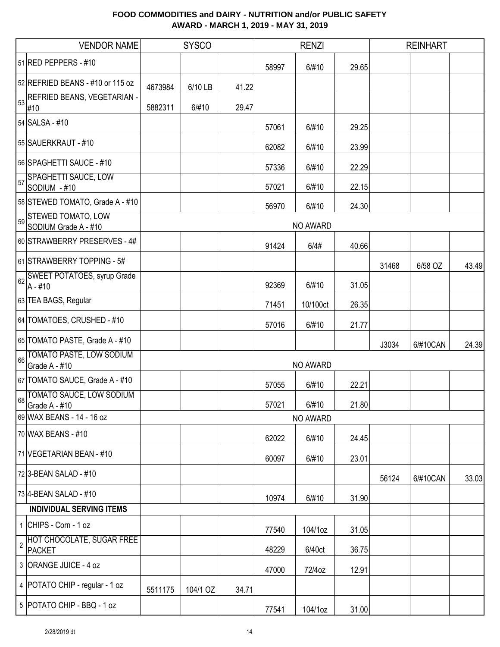|                | <b>VENDOR NAME</b>                                |         | <b>SYSCO</b> |       |       | <b>RENZI</b> |       |       | <b>REINHART</b> |       |
|----------------|---------------------------------------------------|---------|--------------|-------|-------|--------------|-------|-------|-----------------|-------|
|                | 51 RED PEPPERS - #10                              |         |              |       | 58997 | 6/#10        | 29.65 |       |                 |       |
|                | 52 REFRIED BEANS - #10 or 115 oz                  | 4673984 | 6/10 LB      | 41.22 |       |              |       |       |                 |       |
| 53             | REFRIED BEANS, VEGETARIAN -<br>#10                | 5882311 | 6/#10        | 29.47 |       |              |       |       |                 |       |
|                | 54 SALSA - #10                                    |         |              |       | 57061 | 6/#10        | 29.25 |       |                 |       |
|                | 55 SAUERKRAUT - #10                               |         |              |       | 62082 | 6/#10        | 23.99 |       |                 |       |
|                | 56 SPAGHETTI SAUCE - #10                          |         |              |       | 57336 | 6/#10        | 22.29 |       |                 |       |
| 57             | <b>SPAGHETTI SAUCE, LOW</b><br>SODIUM - #10       |         |              |       | 57021 | 6/#10        | 22.15 |       |                 |       |
|                | 58 STEWED TOMATO, Grade A - #10                   |         |              |       | 56970 | 6/#10        | 24.30 |       |                 |       |
| 59             | <b>STEWED TOMATO, LOW</b><br>SODIUM Grade A - #10 |         |              |       |       | NO AWARD     |       |       |                 |       |
|                | 60 STRAWBERRY PRESERVES - 4#                      |         |              |       | 91424 | 6/4#         | 40.66 |       |                 |       |
|                | 61 STRAWBERRY TOPPING - 5#                        |         |              |       |       |              |       | 31468 | 6/58 OZ         | 43.49 |
| 62             | <b>SWEET POTATOES, syrup Grade</b><br>$A - #10$   |         |              |       | 92369 | 6/#10        | 31.05 |       |                 |       |
|                | 63 TEA BAGS, Regular                              |         |              |       | 71451 | 10/100ct     | 26.35 |       |                 |       |
|                | 64 TOMATOES, CRUSHED - #10                        |         |              |       | 57016 | 6/#10        | 21.77 |       |                 |       |
|                | 65 TOMATO PASTE, Grade A - #10                    |         |              |       |       |              |       | J3034 | 6/#10CAN        | 24.39 |
| 66             | TOMATO PASTE, LOW SODIUM<br>Grade A - #10         |         |              |       |       | NO AWARD     |       |       |                 |       |
|                | 67 TOMATO SAUCE, Grade A - #10                    |         |              |       | 57055 | 6/#10        | 22.21 |       |                 |       |
| 68             | TOMATO SAUCE, LOW SODIUM                          |         |              |       |       |              |       |       |                 |       |
|                | Grade A - #10                                     |         |              |       | 57021 | 6/#10        | 21.80 |       |                 |       |
|                | 69 WAX BEANS - 14 - 16 oz                         |         |              |       |       | NO AWARD     |       |       |                 |       |
|                | 70 WAX BEANS - #10                                |         |              |       | 62022 | 6/#10        | 24.45 |       |                 |       |
|                | 71 VEGETARIAN BEAN - #10                          |         |              |       | 60097 | 6/#10        | 23.01 |       |                 |       |
|                | 72 3-BEAN SALAD - #10                             |         |              |       |       |              |       | 56124 | 6/#10CAN        | 33.03 |
|                | 73 4-BEAN SALAD - #10                             |         |              |       | 10974 | 6/#10        | 31.90 |       |                 |       |
|                | <b>INDIVIDUAL SERVING ITEMS</b>                   |         |              |       |       |              |       |       |                 |       |
|                | 1 CHIPS - Corn - 1 oz                             |         |              |       | 77540 | 104/1oz      | 31.05 |       |                 |       |
| $\overline{2}$ | HOT CHOCOLATE, SUGAR FREE<br><b>PACKET</b>        |         |              |       | 48229 | 6/40ct       | 36.75 |       |                 |       |
|                | 3 ORANGE JUICE - 4 oz                             |         |              |       | 47000 | 72/4oz       | 12.91 |       |                 |       |
|                | 4   POTATO CHIP - regular - 1 oz                  | 5511175 | 104/1 OZ     | 34.71 |       |              |       |       |                 |       |
|                | 5 POTATO CHIP - BBQ - 1 oz                        |         |              |       | 77541 | 104/1oz      | 31.00 |       |                 |       |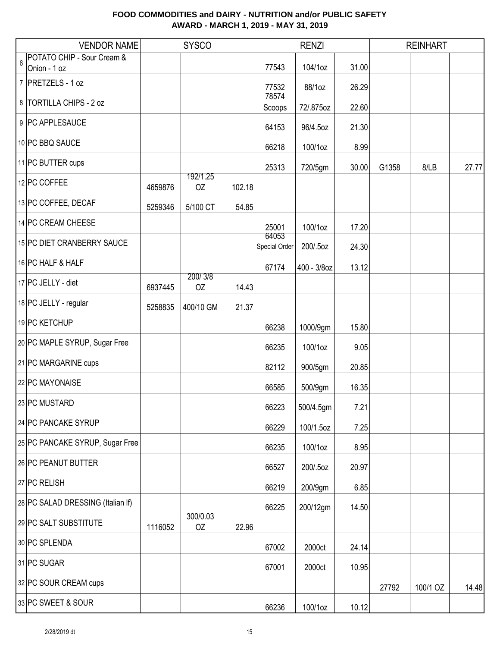|   | <b>VENDOR NAME</b>                                    |         | <b>SYSCO</b>   |        |                        | <b>RENZI</b> |       |       | <b>REINHART</b> |       |
|---|-------------------------------------------------------|---------|----------------|--------|------------------------|--------------|-------|-------|-----------------|-------|
| 6 | <b>POTATO CHIP - Sour Cream &amp;</b><br>Onion - 1 oz |         |                |        | 77543                  | 104/1oz      | 31.00 |       |                 |       |
|   | 7 PRETZELS - 1 oz                                     |         |                |        |                        |              |       |       |                 |       |
|   |                                                       |         |                |        | 77532<br>78574         | 88/1oz       | 26.29 |       |                 |       |
|   | 8   TORTILLA CHIPS - 2 oz                             |         |                |        | Scoops                 | 72/.875oz    | 22.60 |       |                 |       |
|   | 9 PC APPLESAUCE                                       |         |                |        | 64153                  | 96/4.5oz     | 21.30 |       |                 |       |
|   | 10 PC BBQ SAUCE                                       |         |                |        | 66218                  | 100/1oz      | 8.99  |       |                 |       |
|   | 11 PC BUTTER cups                                     |         |                |        | 25313                  | 720/5gm      | 30.00 | G1358 | 8/LB            | 27.77 |
|   | 12 PC COFFEE                                          | 4659876 | 192/1.25<br>OZ | 102.18 |                        |              |       |       |                 |       |
|   | 13 PC COFFEE, DECAF                                   | 5259346 | 5/100 CT       | 54.85  |                        |              |       |       |                 |       |
|   | 14 PC CREAM CHEESE                                    |         |                |        | 25001                  | 100/1oz      | 17.20 |       |                 |       |
|   | 15 PC DIET CRANBERRY SAUCE                            |         |                |        | 64053<br>Special Order | 200/.5oz     | 24.30 |       |                 |       |
|   | 16 PC HALF & HALF                                     |         |                |        | 67174                  | 400 - 3/8oz  | 13.12 |       |                 |       |
|   | 17 PC JELLY - diet                                    | 6937445 | 200/3/8<br>OZ  | 14.43  |                        |              |       |       |                 |       |
|   | 18 PC JELLY - regular                                 | 5258835 | 400/10 GM      | 21.37  |                        |              |       |       |                 |       |
|   | 19 PC KETCHUP                                         |         |                |        | 66238                  | 1000/9gm     | 15.80 |       |                 |       |
|   | 20 PC MAPLE SYRUP, Sugar Free                         |         |                |        | 66235                  | 100/1oz      | 9.05  |       |                 |       |
|   | 21 PC MARGARINE cups                                  |         |                |        | 82112                  | 900/5gm      | 20.85 |       |                 |       |
|   | 22 PC MAYONAISE                                       |         |                |        | 66585                  | 500/9gm      | 16.35 |       |                 |       |
|   | 23 PC MUSTARD                                         |         |                |        | 66223                  | 500/4.5gm    | 7.21  |       |                 |       |
|   | 24 PC PANCAKE SYRUP                                   |         |                |        | 66229                  | 100/1.5oz    | 7.25  |       |                 |       |
|   | 25 PC PANCAKE SYRUP, Sugar Free                       |         |                |        | 66235                  | 100/1oz      | 8.95  |       |                 |       |
|   | 26 PC PEANUT BUTTER                                   |         |                |        | 66527                  | 200/.5oz     | 20.97 |       |                 |       |
|   | 27 PC RELISH                                          |         |                |        | 66219                  | 200/9gm      | 6.85  |       |                 |       |
|   | 28 PC SALAD DRESSING (Italian If)                     |         |                |        | 66225                  | 200/12gm     | 14.50 |       |                 |       |
|   | 29 PC SALT SUBSTITUTE                                 | 1116052 | 300/0.03<br>OZ | 22.96  |                        |              |       |       |                 |       |
|   | 30 PC SPLENDA                                         |         |                |        | 67002                  | 2000ct       | 24.14 |       |                 |       |
|   | 31 PC SUGAR                                           |         |                |        | 67001                  | 2000ct       | 10.95 |       |                 |       |
|   | 32 PC SOUR CREAM cups                                 |         |                |        |                        |              |       | 27792 | 100/1 OZ        | 14.48 |
|   | 33 PC SWEET & SOUR                                    |         |                |        | 66236                  | 100/1oz      | 10.12 |       |                 |       |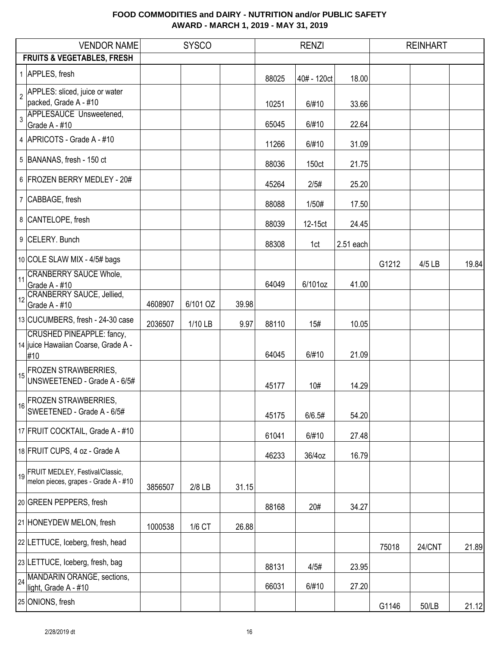|    | <b>VENDOR NAME</b>                                                             |         | <b>SYSCO</b> |       |       | <b>RENZI</b> |           |       | <b>REINHART</b> |       |  |  |
|----|--------------------------------------------------------------------------------|---------|--------------|-------|-------|--------------|-----------|-------|-----------------|-------|--|--|
|    | <b>FRUITS &amp; VEGETABLES, FRESH</b>                                          |         |              |       |       |              |           |       |                 |       |  |  |
|    | 1 APPLES, fresh                                                                |         |              |       | 88025 | 40# - 120ct  | 18.00     |       |                 |       |  |  |
|    | 2 APPLES: sliced, juice or water<br>packed, Grade A - #10                      |         |              |       | 10251 | 6/#10        | 33.66     |       |                 |       |  |  |
|    | 3 APPLESAUCE Unsweetened,<br>Grade A - #10                                     |         |              |       | 65045 | 6/#10        | 22.64     |       |                 |       |  |  |
|    | 4 APRICOTS - Grade A - #10                                                     |         |              |       | 11266 | 6/#10        | 31.09     |       |                 |       |  |  |
|    | 5 BANANAS, fresh - 150 ct                                                      |         |              |       | 88036 | 150ct        | 21.75     |       |                 |       |  |  |
|    | 6 FROZEN BERRY MEDLEY - 20#                                                    |         |              |       | 45264 | 2/5#         | 25.20     |       |                 |       |  |  |
|    | 7 CABBAGE, fresh                                                               |         |              |       | 88088 | 1/50#        | 17.50     |       |                 |       |  |  |
|    | 8 CANTELOPE, fresh                                                             |         |              |       | 88039 | 12-15ct      | 24.45     |       |                 |       |  |  |
|    | 9 CELERY. Bunch                                                                |         |              |       | 88308 | 1ct          | 2.51 each |       |                 |       |  |  |
|    | 10 COLE SLAW MIX - 4/5# bags                                                   |         |              |       |       |              |           | G1212 | 4/5 LB          | 19.84 |  |  |
| 11 | <b>CRANBERRY SAUCE Whole,</b><br>Grade A - #10                                 |         |              |       | 64049 | 6/101oz      | 41.00     |       |                 |       |  |  |
| 12 | <b>CRANBERRY SAUCE, Jellied,</b><br>Grade A - #10                              | 4608907 | 6/101 OZ     | 39.98 |       |              |           |       |                 |       |  |  |
|    | 13 CUCUMBERS, fresh - 24-30 case                                               | 2036507 | 1/10 LB      | 9.97  | 88110 | 15#          | 10.05     |       |                 |       |  |  |
|    | <b>CRUSHED PINEAPPLE: fancy,</b><br>14 juice Hawaiian Coarse, Grade A -<br>#10 |         |              |       | 64045 | 6/#10        | 21.09     |       |                 |       |  |  |
|    | <b>FROZEN STRAWBERRIES,</b><br>UNSWEETENED - Grade A - 6/5#                    |         |              |       | 45177 | 10#          | 14.29     |       |                 |       |  |  |
| 16 | <b>FROZEN STRAWBERRIES,</b><br>SWEETENED - Grade A - 6/5#                      |         |              |       | 45175 | 6/6.5#       | 54.20     |       |                 |       |  |  |
|    | 17 FRUIT COCKTAIL, Grade A - #10                                               |         |              |       | 61041 | 6/#10        | 27.48     |       |                 |       |  |  |
|    | 18 FRUIT CUPS, 4 oz - Grade A                                                  |         |              |       | 46233 | 36/4oz       | 16.79     |       |                 |       |  |  |
|    | 19 FRUIT MEDLEY, Festival/Classic,<br>melon pieces, grapes - Grade A - #10     | 3856507 | 2/8 LB       | 31.15 |       |              |           |       |                 |       |  |  |
|    | 20 GREEN PEPPERS, fresh                                                        |         |              |       | 88168 | 20#          | 34.27     |       |                 |       |  |  |
|    | 21 HONEYDEW MELON, fresh                                                       | 1000538 | 1/6 CT       | 26.88 |       |              |           |       |                 |       |  |  |
|    | 22 LETTUCE, Iceberg, fresh, head                                               |         |              |       |       |              |           | 75018 | <b>24/CNT</b>   | 21.89 |  |  |
|    | 23 LETTUCE, Iceberg, fresh, bag                                                |         |              |       | 88131 | 4/5#         | 23.95     |       |                 |       |  |  |
| 24 | MANDARIN ORANGE, sections,<br>light, Grade A - #10                             |         |              |       | 66031 | 6/#10        | 27.20     |       |                 |       |  |  |
|    | 25 ONIONS, fresh                                                               |         |              |       |       |              |           | G1146 | 50/LB           | 21.12 |  |  |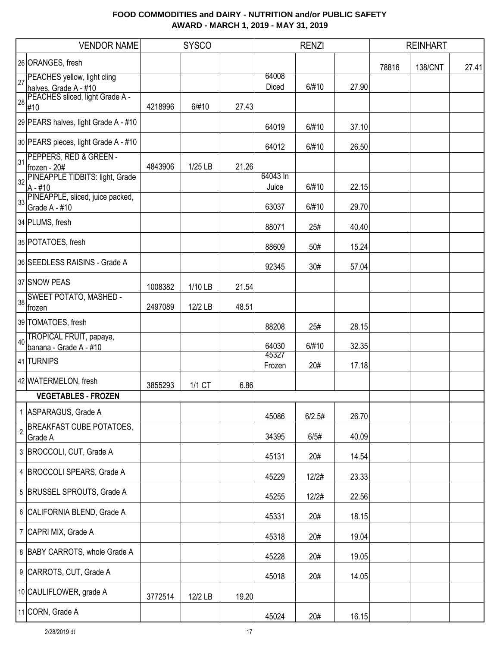|                | <b>VENDOR NAME</b>                                       |         | <b>SYSCO</b> |       |                 | <b>RENZI</b> |       |       | <b>REINHART</b> |       |
|----------------|----------------------------------------------------------|---------|--------------|-------|-----------------|--------------|-------|-------|-----------------|-------|
|                | 26 ORANGES, fresh                                        |         |              |       |                 |              |       | 78816 | <b>138/CNT</b>  | 27.41 |
| 27             | PEACHES yellow, light cling                              |         |              |       | 64008           |              |       |       |                 |       |
|                | halves, Grade A - #10<br>PEACHES sliced, light Grade A - |         |              |       | Diced           | 6/#10        | 27.90 |       |                 |       |
| 28             | #10                                                      | 4218996 | 6/#10        | 27.43 |                 |              |       |       |                 |       |
|                | 29 PEARS halves, light Grade A - #10                     |         |              |       | 64019           | 6/#10        | 37.10 |       |                 |       |
|                | 30 PEARS pieces, light Grade A - #10                     |         |              |       | 64012           | 6/#10        | 26.50 |       |                 |       |
| 31             | PEPPERS, RED & GREEN -                                   | 4843906 | 1/25 LB      | 21.26 |                 |              |       |       |                 |       |
|                | frozen - 20#<br>32 PINEAPPLE TIDBITS: light, Grade       |         |              |       | 64043 In        |              |       |       |                 |       |
|                | $A - #10$                                                |         |              |       | Juice           | 6/#10        | 22.15 |       |                 |       |
|                | 33 PINEAPPLE, sliced, juice packed,<br>Grade A - #10     |         |              |       | 63037           | 6/#10        | 29.70 |       |                 |       |
|                | 34 PLUMS, fresh                                          |         |              |       | 88071           | 25#          | 40.40 |       |                 |       |
|                | 35 POTATOES, fresh                                       |         |              |       | 88609           | 50#          | 15.24 |       |                 |       |
|                | 36 SEEDLESS RAISINS - Grade A                            |         |              |       | 92345           | 30#          | 57.04 |       |                 |       |
|                | 37 SNOW PEAS                                             | 1008382 | 1/10 LB      | 21.54 |                 |              |       |       |                 |       |
| 38             | <b>SWEET POTATO, MASHED -</b>                            | 2497089 | 12/2 LB      | 48.51 |                 |              |       |       |                 |       |
|                | frozen<br>39 TOMATOES, fresh                             |         |              |       |                 |              |       |       |                 |       |
|                | TROPICAL FRUIT, papaya,                                  |         |              |       | 88208           | 25#          | 28.15 |       |                 |       |
| 40             | banana - Grade A - #10                                   |         |              |       | 64030           | 6/#10        | 32.35 |       |                 |       |
|                | 41 TURNIPS                                               |         |              |       | 45327<br>Frozen | 20#          | 17.18 |       |                 |       |
|                | 42 WATERMELON, fresh                                     | 3855293 | 1/1 CT       | 6.86  |                 |              |       |       |                 |       |
|                | <b>VEGETABLES - FROZEN</b>                               |         |              |       |                 |              |       |       |                 |       |
|                | 1 ASPARAGUS, Grade A                                     |         |              |       | 45086           | 6/2.5#       | 26.70 |       |                 |       |
| $\overline{2}$ | <b>BREAKFAST CUBE POTATOES,</b><br>Grade A               |         |              |       | 34395           | 6/5#         | 40.09 |       |                 |       |
|                | 3 BROCCOLI, CUT, Grade A                                 |         |              |       | 45131           | 20#          | 14.54 |       |                 |       |
|                | 4 BROCCOLI SPEARS, Grade A                               |         |              |       | 45229           | 12/2#        | 23.33 |       |                 |       |
|                | 5 BRUSSEL SPROUTS, Grade A                               |         |              |       | 45255           | 12/2#        | 22.56 |       |                 |       |
|                | 6 CALIFORNIA BLEND, Grade A                              |         |              |       | 45331           | 20#          | 18.15 |       |                 |       |
|                | 7 CAPRI MIX, Grade A                                     |         |              |       | 45318           | 20#          | 19.04 |       |                 |       |
|                | 8 BABY CARROTS, whole Grade A                            |         |              |       | 45228           | 20#          | 19.05 |       |                 |       |
|                | 9 CARROTS, CUT, Grade A                                  |         |              |       |                 |              |       |       |                 |       |
|                | 10 CAULIFLOWER, grade A                                  |         |              |       | 45018           | 20#          | 14.05 |       |                 |       |
|                |                                                          | 3772514 | 12/2 LB      | 19.20 |                 |              |       |       |                 |       |
|                | 11 CORN, Grade A                                         |         |              |       | 45024           | 20#          | 16.15 |       |                 |       |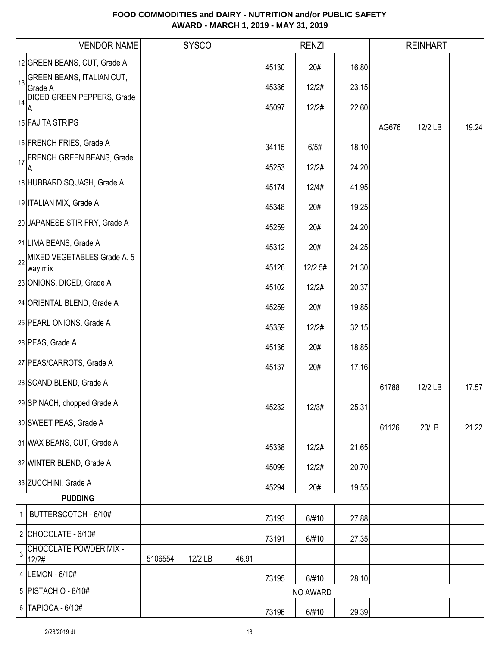|                | <b>VENDOR NAME</b>                           |         | <b>SYSCO</b> |       |       | <b>RENZI</b> |       |       | <b>REINHART</b> |       |
|----------------|----------------------------------------------|---------|--------------|-------|-------|--------------|-------|-------|-----------------|-------|
|                | 12 GREEN BEANS, CUT, Grade A                 |         |              |       | 45130 | 20#          | 16.80 |       |                 |       |
|                | 13 GREEN BEANS, ITALIAN CUT,                 |         |              |       | 45336 | 12/2#        | 23.15 |       |                 |       |
| 14             | Grade A<br><b>DICED GREEN PEPPERS, Grade</b> |         |              |       |       |              |       |       |                 |       |
|                | A                                            |         |              |       | 45097 | 12/2#        | 22.60 |       |                 |       |
|                | 15 FAJITA STRIPS                             |         |              |       |       |              |       | AG676 | 12/2 LB         | 19.24 |
|                | 16 FRENCH FRIES, Grade A                     |         |              |       | 34115 | 6/5#         | 18.10 |       |                 |       |
|                | 17 FRENCH GREEN BEANS, Grade<br>A            |         |              |       | 45253 | 12/2#        | 24.20 |       |                 |       |
|                | 18 HUBBARD SQUASH, Grade A                   |         |              |       | 45174 | 12/4#        | 41.95 |       |                 |       |
|                | 19 ITALIAN MIX, Grade A                      |         |              |       | 45348 | 20#          | 19.25 |       |                 |       |
|                | 20 JAPANESE STIR FRY, Grade A                |         |              |       | 45259 | 20#          | 24.20 |       |                 |       |
|                | 21 LIMA BEANS, Grade A                       |         |              |       | 45312 | 20#          | 24.25 |       |                 |       |
| 22             | MIXED VEGETABLES Grade A, 5                  |         |              |       |       |              |       |       |                 |       |
|                | way mix<br>23 ONIONS, DICED, Grade A         |         |              |       | 45126 | 12/2.5#      | 21.30 |       |                 |       |
|                |                                              |         |              |       | 45102 | 12/2#        | 20.37 |       |                 |       |
|                | 24 ORIENTAL BLEND, Grade A                   |         |              |       | 45259 | 20#          | 19.85 |       |                 |       |
|                | 25 PEARL ONIONS. Grade A                     |         |              |       | 45359 | 12/2#        | 32.15 |       |                 |       |
|                | 26 PEAS, Grade A                             |         |              |       | 45136 | 20#          | 18.85 |       |                 |       |
|                | 27 PEAS/CARROTS, Grade A                     |         |              |       | 45137 | 20#          | 17.16 |       |                 |       |
|                | 28 SCAND BLEND, Grade A                      |         |              |       |       |              |       | 61788 | 12/2 LB         | 17.57 |
|                | 29 SPINACH, chopped Grade A                  |         |              |       | 45232 | 12/3#        | 25.31 |       |                 |       |
|                | 30 SWEET PEAS, Grade A                       |         |              |       |       |              |       | 61126 | 20/LB           | 21.22 |
|                | 31 WAX BEANS, CUT, Grade A                   |         |              |       | 45338 | 12/2#        | 21.65 |       |                 |       |
|                | 32 WINTER BLEND, Grade A                     |         |              |       | 45099 | 12/2#        | 20.70 |       |                 |       |
|                | 33 ZUCCHINI. Grade A                         |         |              |       | 45294 | 20#          | 19.55 |       |                 |       |
|                | <b>PUDDING</b>                               |         |              |       |       |              |       |       |                 |       |
| 1              | BUTTERSCOTCH - 6/10#                         |         |              |       | 73193 | 6/#10        | 27.88 |       |                 |       |
|                | $2$ CHOCOLATE - 6/10#                        |         |              |       | 73191 | 6/#10        | 27.35 |       |                 |       |
| $\mathfrak{S}$ | <b>CHOCOLATE POWDER MIX -</b><br>12/2#       | 5106554 | 12/2 LB      | 46.91 |       |              |       |       |                 |       |
|                | 4 LEMON - 6/10#                              |         |              |       | 73195 | 6/#10        | 28.10 |       |                 |       |
|                | 5 PISTACHIO - 6/10#                          |         |              |       |       | NO AWARD     |       |       |                 |       |
|                | 6 TAPIOCA - 6/10#                            |         |              |       | 73196 | 6/#10        | 29.39 |       |                 |       |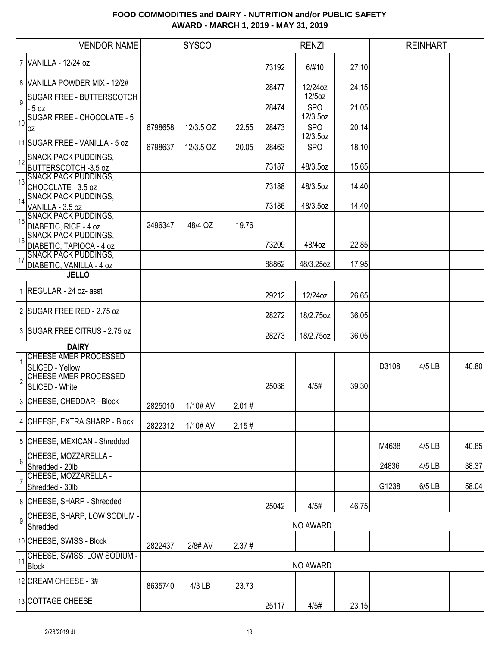|                         | <b>VENDOR NAME</b>                                      |         | <b>SYSCO</b> |       |                | <b>RENZI</b>              |                |       | <b>REINHART</b> |       |
|-------------------------|---------------------------------------------------------|---------|--------------|-------|----------------|---------------------------|----------------|-------|-----------------|-------|
|                         | 7 VANILLA - 12/24 oz                                    |         |              |       | 73192          | 6/#10                     | 27.10          |       |                 |       |
|                         | 8 VANILLA POWDER MIX - 12/2#                            |         |              |       | 28477          | 12/24oz                   | 24.15          |       |                 |       |
| $\overline{9}$          | <b>SUGAR FREE - BUTTERSCOTCH</b><br>$-5 oz$             |         |              |       | 28474          | 12/5oz<br><b>SPO</b>      | 21.05          |       |                 |       |
| 10                      | <b>SUGAR FREE - CHOCOLATE - 5</b>                       | 6798658 | 12/3.5 OZ    | 22.55 | 28473          | $12/3.5$ oz<br><b>SPO</b> | 20.14          |       |                 |       |
|                         | 0Z<br>11 SUGAR FREE - VANILLA - 5 oz                    | 6798637 | 12/3.5 OZ    | 20.05 | 28463          | 12/3.5oz<br><b>SPO</b>    | 18.10          |       |                 |       |
|                         | 12 SNACK PACK PUDDINGS,                                 |         |              |       | 73187          | 48/3.5oz                  | 15.65          |       |                 |       |
| 13                      | BUTTERSCOTCH -3.5 oz<br><b>SNACK PACK PUDDINGS,</b>     |         |              |       |                |                           |                |       |                 |       |
| 14                      | CHOCOLATE - 3.5 oz<br><b>SNACK PACK PUDDINGS,</b>       |         |              |       | 73188          | 48/3.5oz                  | 14.40          |       |                 |       |
| 15                      | VANILLA - 3.5 oz<br><b>SNACK PACK PUDDINGS,</b>         |         |              |       | 73186          | 48/3.5oz                  | 14.40          |       |                 |       |
| 16                      | DIABETIC, RICE - 4 oz<br><b>SNACK PACK PUDDINGS,</b>    | 2496347 | 48/4 OZ      | 19.76 |                |                           |                |       |                 |       |
|                         | DIABETIC, TAPIOCA - 4 oz<br><b>SNACK PACK PUDDINGS,</b> |         |              |       | 73209          | 48/4oz                    | 22.85          |       |                 |       |
| 17                      | DIABETIC, VANILLA - 4 oz<br><b>JELLO</b>                |         |              |       | 88862          | 48/3.25oz                 | 17.95          |       |                 |       |
|                         | 1 REGULAR - 24 oz- asst                                 |         |              |       |                |                           |                |       |                 |       |
|                         | 2 SUGAR FREE RED - 2.75 oz                              |         |              |       | 29212<br>28272 | 12/24oz<br>18/2.75oz      | 26.65<br>36.05 |       |                 |       |
|                         | 3 SUGAR FREE CITRUS - 2.75 oz                           |         |              |       | 28273          | 18/2.75oz                 | 36.05          |       |                 |       |
|                         | <b>DAIRY</b>                                            |         |              |       |                |                           |                |       |                 |       |
| $\mathbf{1}$            | <b>CHEESE AMER PROCESSED</b><br>SLICED - Yellow         |         |              |       |                |                           |                | D3108 | 4/5 LB          | 40.80 |
| $\overline{\mathbf{c}}$ | <b>CHEESE AMER PROCESSED</b><br>SLICED - White          |         |              |       | 25038          | 4/5#                      | 39.30          |       |                 |       |
|                         | 3 CHEESE, CHEDDAR - Block                               | 2825010 | 1/10# AV     | 2.01# |                |                           |                |       |                 |       |
|                         | 4 CHEESE, EXTRA SHARP - Block                           | 2822312 | 1/10# AV     | 2.15# |                |                           |                |       |                 |       |
|                         | 5 CHEESE, MEXICAN - Shredded                            |         |              |       |                |                           |                | M4638 | 4/5 LB          | 40.85 |
| $6\phantom{a}$          | CHEESE, MOZZARELLA -<br>Shredded - 20lb                 |         |              |       |                |                           |                | 24836 | 4/5 LB          | 38.37 |
| $\overline{7}$          | CHEESE, MOZZARELLA -<br>Shredded - 30lb                 |         |              |       |                |                           |                | G1238 | 6/5 LB          | 58.04 |
|                         | 8 CHEESE, SHARP - Shredded                              |         |              |       | 25042          | 4/5#                      | 46.75          |       |                 |       |
| $\overline{9}$          | CHEESE, SHARP, LOW SODIUM -<br>Shredded                 |         |              |       |                | <b>NO AWARD</b>           |                |       |                 |       |
|                         | 10 CHEESE, SWISS - Block                                | 2822437 | 2/8# AV      | 2.37# |                |                           |                |       |                 |       |
| 11                      | CHEESE, SWISS, LOW SODIUM -<br><b>Block</b>             |         |              |       |                | <b>NO AWARD</b>           |                |       |                 |       |
|                         | 12 CREAM CHEESE - 3#                                    | 8635740 | 4/3 LB       | 23.73 |                |                           |                |       |                 |       |
|                         | 13 COTTAGE CHEESE                                       |         |              |       | 25117          | 4/5#                      | 23.15          |       |                 |       |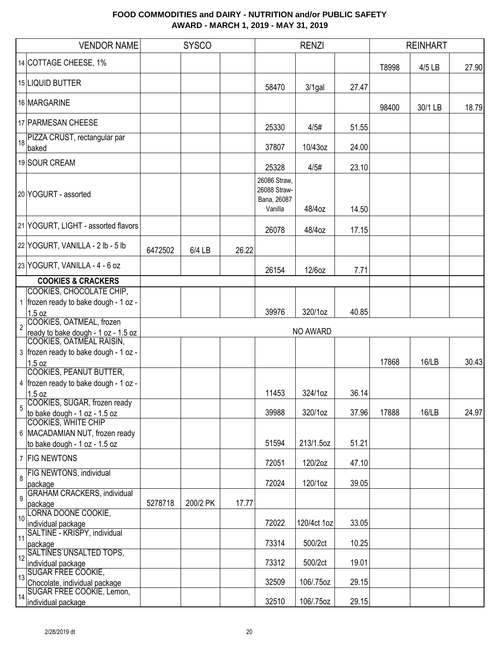|                | <b>VENDOR NAME</b>                           |         | <b>SYSCO</b> |       |                                                        | <b>RENZI</b>    |       |       | <b>REINHART</b> |       |
|----------------|----------------------------------------------|---------|--------------|-------|--------------------------------------------------------|-----------------|-------|-------|-----------------|-------|
|                | 14 COTTAGE CHEESE, 1%                        |         |              |       |                                                        |                 |       | T8998 | 4/5 LB          | 27.90 |
|                | 15 LIQUID BUTTER                             |         |              |       | 58470                                                  | $3/1$ gal       | 27.47 |       |                 |       |
|                | 16 MARGARINE                                 |         |              |       |                                                        |                 |       | 98400 | 30/1 LB         | 18.79 |
|                | 17 PARMESAN CHEESE                           |         |              |       | 25330                                                  | 4/5#            | 51.55 |       |                 |       |
|                | 18 PIZZA CRUST, rectangular par<br>baked     |         |              |       | 37807                                                  | 10/43oz         | 24.00 |       |                 |       |
|                | 19 SOUR CREAM                                |         |              |       | 25328                                                  | 4/5#            | 23.10 |       |                 |       |
|                | 20 YOGURT - assorted                         |         |              |       | 26086 Straw,<br>26088 Straw-<br>Bana, 26087<br>Vanilla | 48/4oz          | 14.50 |       |                 |       |
|                | 21 YOGURT, LIGHT - assorted flavors          |         |              |       | 26078                                                  | 48/4oz          | 17.15 |       |                 |       |
|                | 22 YOGURT, VANILLA - 2 lb - 5 lb             | 6472502 | 6/4 LB       | 26.22 |                                                        |                 |       |       |                 |       |
|                | 23 YOGURT, VANILLA - 4 - 6 oz                |         |              |       | 26154                                                  | 12/6oz          | 7.71  |       |                 |       |
|                | <b>COOKIES &amp; CRACKERS</b>                |         |              |       |                                                        |                 |       |       |                 |       |
|                | COOKIES, CHOCOLATE CHIP,                     |         |              |       |                                                        |                 |       |       |                 |       |
|                | 1 frozen ready to bake dough - 1 oz -        |         |              |       |                                                        |                 |       |       |                 |       |
|                | 1.5 oz                                       |         |              |       | 39976                                                  | 320/1oz         | 40.85 |       |                 |       |
|                | 2 COOKIES, OATMEAL, frozen                   |         |              |       |                                                        |                 |       |       |                 |       |
|                | ready to bake dough - 1 oz - 1.5 oz          |         |              |       |                                                        | <b>NO AWARD</b> |       |       |                 |       |
|                | COOKIES, OATMEAL RAISIN,                     |         |              |       |                                                        |                 |       |       |                 |       |
|                | 3   frozen ready to bake dough - 1 oz -      |         |              |       |                                                        |                 |       |       |                 |       |
|                | 1.5 oz                                       |         |              |       |                                                        |                 |       | 17868 | 16/LB           | 30.43 |
|                | <b>COOKIES, PEANUT BUTTER,</b>               |         |              |       |                                                        |                 |       |       |                 |       |
|                | 4 frozen ready to bake dough - 1 oz -        |         |              |       |                                                        |                 |       |       |                 |       |
|                | 1.5 oz                                       |         |              |       | 11453                                                  | 324/1oz         | 36.14 |       |                 |       |
| 5              | COOKIES, SUGAR, frozen ready                 |         |              |       |                                                        |                 |       |       |                 |       |
|                | to bake dough - 1 oz - 1.5 oz                |         |              |       | 39988                                                  | 320/1oz         | 37.96 | 17888 | 16/LB           | 24.97 |
|                | <b>COOKIES, WHITE CHIP</b>                   |         |              |       |                                                        |                 |       |       |                 |       |
|                | 6 MACADAMIAN NUT, frozen ready               |         |              |       | 51594                                                  | 213/1.5oz       | 51.21 |       |                 |       |
|                | to bake dough - 1 oz - 1.5 oz                |         |              |       |                                                        |                 |       |       |                 |       |
|                | 7 FIG NEWTONS                                |         |              |       | 72051                                                  | 120/2oz         | 47.10 |       |                 |       |
| $\overline{8}$ | <b>FIG NEWTONS, individual</b>               |         |              |       |                                                        |                 |       |       |                 |       |
|                | package                                      |         |              |       | 72024                                                  | 120/1oz         | 39.05 |       |                 |       |
| $\overline{9}$ | <b>GRAHAM CRACKERS, individual</b>           |         |              |       |                                                        |                 |       |       |                 |       |
|                | package                                      | 5278718 | 200/2 PK     | 17.77 |                                                        |                 |       |       |                 |       |
|                | 10 LORNA DOONE COOKIE,<br>individual package |         |              |       | 72022                                                  | 120/4ct 1oz     | 33.05 |       |                 |       |
|                | 11 <sup>SALTINE</sup> - KRISPY, individual   |         |              |       |                                                        |                 |       |       |                 |       |
|                | package                                      |         |              |       | 73314                                                  | 500/2ct         | 10.25 |       |                 |       |
|                | 12 SALTINES UNSALTED TOPS,                   |         |              |       |                                                        |                 |       |       |                 |       |
|                | individual package                           |         |              |       | 73312                                                  | 500/2ct         | 19.01 |       |                 |       |
|                | 13 SUGAR FREE COOKIE,                        |         |              |       |                                                        |                 |       |       |                 |       |
|                | Chocolate, individual package                |         |              |       | 32509                                                  | 106/.75oz       | 29.15 |       |                 |       |
|                | 14 SUGAR FREE COOKIE, Lemon,                 |         |              |       | 32510                                                  | 106/.75oz       | 29.15 |       |                 |       |
|                | individual package                           |         |              |       |                                                        |                 |       |       |                 |       |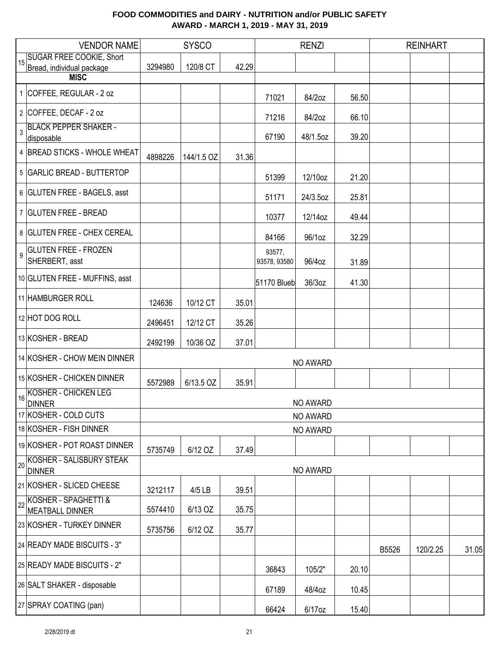|    | <b>VENDOR NAME</b>                                           |         | <b>SYSCO</b> |       |                        | <b>RENZI</b> |       |       | <b>REINHART</b> |       |
|----|--------------------------------------------------------------|---------|--------------|-------|------------------------|--------------|-------|-------|-----------------|-------|
| 15 | <b>SUGAR FREE COOKIE, Short</b><br>Bread, individual package | 3294980 | 120/8 CT     | 42.29 |                        |              |       |       |                 |       |
|    | <b>MISC</b>                                                  |         |              |       |                        |              |       |       |                 |       |
|    | 1 COFFEE, REGULAR - 2 oz                                     |         |              |       | 71021                  | 84/2oz       | 56.50 |       |                 |       |
|    | 2 COFFEE, DECAF - 2 oz                                       |         |              |       | 71216                  | 84/2oz       | 66.10 |       |                 |       |
| 3  | <b>BLACK PEPPER SHAKER -</b><br>disposable                   |         |              |       | 67190                  | 48/1.5oz     | 39.20 |       |                 |       |
|    | 4 BREAD STICKS - WHOLE WHEAT                                 | 4898226 | 144/1.5 OZ   | 31.36 |                        |              |       |       |                 |       |
|    | 5 GARLIC BREAD - BUTTERTOP                                   |         |              |       | 51399                  | 12/10oz      | 21.20 |       |                 |       |
|    | 6 GLUTEN FREE - BAGELS, asst                                 |         |              |       | 51171                  | 24/3.5oz     | 25.81 |       |                 |       |
|    | 7 GLUTEN FREE - BREAD                                        |         |              |       | 10377                  | 12/14oz      | 49.44 |       |                 |       |
|    | 8 GLUTEN FREE - CHEX CEREAL                                  |         |              |       | 84166                  | 96/1oz       | 32.29 |       |                 |       |
| 9  | <b>GLUTEN FREE - FROZEN</b><br>SHERBERT, asst                |         |              |       | 93577,<br>93578, 93580 | 96/4oz       | 31.89 |       |                 |       |
|    | 10 GLUTEN FREE - MUFFINS, asst                               |         |              |       | 51170 Blueb            | 36/3oz       | 41.30 |       |                 |       |
|    | 11 HAMBURGER ROLL                                            | 124636  | 10/12 CT     | 35.01 |                        |              |       |       |                 |       |
|    | 12 HOT DOG ROLL                                              | 2496451 | 12/12 CT     | 35.26 |                        |              |       |       |                 |       |
|    | 13 KOSHER - BREAD                                            | 2492199 | 10/36 OZ     | 37.01 |                        |              |       |       |                 |       |
|    | 14 KOSHER - CHOW MEIN DINNER                                 |         |              |       |                        | NO AWARD     |       |       |                 |       |
|    | 15 KOSHER - CHICKEN DINNER                                   | 5572989 | 6/13.5 OZ    | 35.91 |                        |              |       |       |                 |       |
|    | <b>KOSHER - CHICKEN LEG</b><br>$\frac{16}{\text{DINNER}}$    |         |              |       |                        | NO AWARD     |       |       |                 |       |
|    | 17 KOSHER - COLD CUTS                                        |         |              |       |                        | NO AWARD     |       |       |                 |       |
|    | 18 KOSHER - FISH DINNER                                      |         |              |       |                        | NO AWARD     |       |       |                 |       |
|    | 19 KOSHER - POT ROAST DINNER                                 | 5735749 | 6/12 OZ      | 37.49 |                        |              |       |       |                 |       |
| 20 | KOSHER - SALISBURY STEAK<br><b>DINNER</b>                    |         |              |       |                        | NO AWARD     |       |       |                 |       |
|    | 21 KOSHER - SLICED CHEESE                                    | 3212117 | 4/5 LB       | 39.51 |                        |              |       |       |                 |       |
| 22 | KOSHER - SPAGHETTI &<br><b>MEATBALL DINNER</b>               | 5574410 | 6/13 OZ      | 35.75 |                        |              |       |       |                 |       |
|    | 23 KOSHER - TURKEY DINNER                                    | 5735756 | 6/12 OZ      | 35.77 |                        |              |       |       |                 |       |
|    | 24 READY MADE BISCUITS - 3"                                  |         |              |       |                        |              |       | B5526 | 120/2.25        | 31.05 |
|    | 25 READY MADE BISCUITS - 2"                                  |         |              |       | 36843                  | 105/2"       | 20.10 |       |                 |       |
|    | 26 SALT SHAKER - disposable                                  |         |              |       | 67189                  | 48/4oz       | 10.45 |       |                 |       |
|    | 27 SPRAY COATING (pan)                                       |         |              |       | 66424                  | 6/17oz       | 15.40 |       |                 |       |